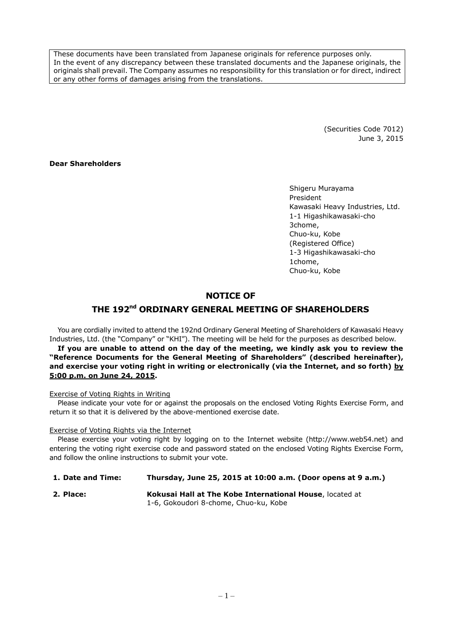These documents have been translated from Japanese originals for reference purposes only. In the event of any discrepancy between these translated documents and the Japanese originals, the originals shall prevail. The Company assumes no responsibility for this translation or for direct, indirect or any other forms of damages arising from the translations.

> (Securities Code 7012) June 3, 2015

### **Dear Shareholders**

Shigeru Murayama President Kawasaki Heavy Industries, Ltd. 1-1 Higashikawasaki-cho 3chome, Chuo-ku, Kobe (Registered Office) 1-3 Higashikawasaki-cho 1chome, Chuo-ku, Kobe

## **NOTICE OF**

# **THE 192 nd ORDINARY GENERAL MEETING OF SHAREHOLDERS**

You are cordially invited to attend the 192nd Ordinary General Meeting of Shareholders of Kawasaki Heavy Industries, Ltd. (the "Company" or "KHI"). The meeting will be held for the purposes as described below.

**If you are unable to attend on the day of the meeting, we kindly ask you to review the "Reference Documents for the General Meeting of Shareholders" (described hereinafter), and exercise your voting right in writing or electronically (via the Internet, and so forth) by 5:00 p.m. on June 24, 2015.**

### Exercise of Voting Rights in Writing

Please indicate your vote for or against the proposals on the enclosed Voting Rights Exercise Form, and return it so that it is delivered by the above-mentioned exercise date.

### Exercise of Voting Rights via the Internet

Please exercise your voting right by logging on to the Internet website (http://www.web54.net) and entering the voting right exercise code and password stated on the enclosed Voting Rights Exercise Form, and follow the online instructions to submit your vote.

### **1. Date and Time: Thursday, June 25, 2015 at 10:00 a.m. (Door opens at 9 a.m.)**

**2. Place: Kokusai Hall at The Kobe International House**, located at 1-6, Gokoudori 8-chome, Chuo-ku, Kobe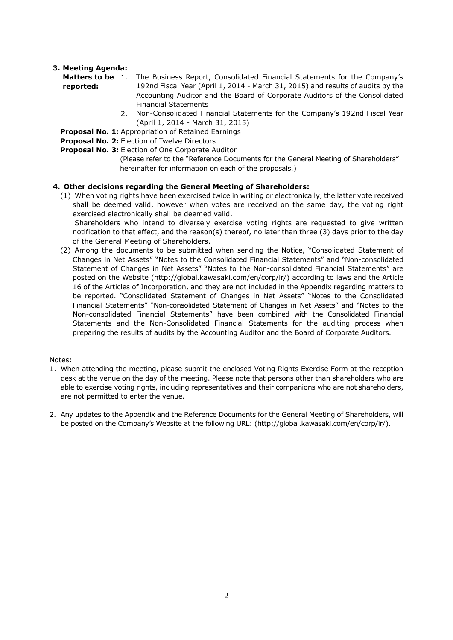# **3. Meeting Agenda:**

**reported:**

- **Matters to be**  1. The Business Report, Consolidated Financial Statements for the Company's 192nd Fiscal Year (April 1, 2014 - March 31, 2015) and results of audits by the Accounting Auditor and the Board of Corporate Auditors of the Consolidated Financial Statements
	- 2. Non-Consolidated Financial Statements for the Company's 192nd Fiscal Year (April 1, 2014 - March 31, 2015)
- **Proposal No. 1:** Appropriation of Retained Earnings
- **Proposal No. 2:** Election of Twelve Directors
- **Proposal No. 3:** Election of One Corporate Auditor
	- (Please refer to the "Reference Documents for the General Meeting of Shareholders" hereinafter for information on each of the proposals.)

### **4. Other decisions regarding the General Meeting of Shareholders:**

(1) When voting rights have been exercised twice in writing or electronically, the latter vote received shall be deemed valid, however when votes are received on the same day, the voting right exercised electronically shall be deemed valid.

Shareholders who intend to diversely exercise voting rights are requested to give written notification to that effect, and the reason(s) thereof, no later than three (3) days prior to the day of the General Meeting of Shareholders.

(2) Among the documents to be submitted when sending the Notice, "Consolidated Statement of Changes in Net Assets" "Notes to the Consolidated Financial Statements" and "Non-consolidated Statement of Changes in Net Assets" "Notes to the Non-consolidated Financial Statements" are posted on the Website (http://global.kawasaki.com/en/corp/ir/) according to laws and the Article 16 of the Articles of Incorporation, and they are not included in the Appendix regarding matters to be reported. "Consolidated Statement of Changes in Net Assets" "Notes to the Consolidated Financial Statements" "Non-consolidated Statement of Changes in Net Assets" and "Notes to the Non-consolidated Financial Statements" have been combined with the Consolidated Financial Statements and the Non-Consolidated Financial Statements for the auditing process when preparing the results of audits by the Accounting Auditor and the Board of Corporate Auditors.

### Notes:

- 1. When attending the meeting, please submit the enclosed Voting Rights Exercise Form at the reception desk at the venue on the day of the meeting. Please note that persons other than shareholders who are able to exercise voting rights, including representatives and their companions who are not shareholders, are not permitted to enter the venue.
- 2. Any updates to the Appendix and the Reference Documents for the General Meeting of Shareholders, will be posted on the Company's Website at the following URL: (http://global.kawasaki.com/en/corp/ir/).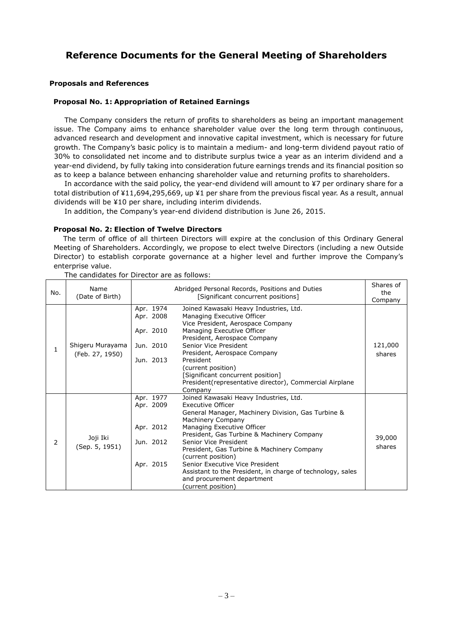# **Reference Documents for the General Meeting of Shareholders**

### **Proposals and References**

### **Proposal No. 1: Appropriation of Retained Earnings**

The Company considers the return of profits to shareholders as being an important management issue. The Company aims to enhance shareholder value over the long term through continuous, advanced research and development and innovative capital investment, which is necessary for future growth. The Company's basic policy is to maintain a medium- and long-term dividend payout ratio of 30% to consolidated net income and to distribute surplus twice a year as an interim dividend and a year-end dividend, by fully taking into consideration future earnings trends and its financial position so as to keep a balance between enhancing shareholder value and returning profits to shareholders.

In accordance with the said policy, the year-end dividend will amount to ¥7 per ordinary share for a total distribution of ¥11,694,295,669, up ¥1 per share from the previous fiscal year. As a result, annual dividends will be ¥10 per share, including interim dividends.

In addition, the Company's year-end dividend distribution is June 26, 2015.

### **Proposal No. 2: Election of Twelve Directors**

The term of office of all thirteen Directors will expire at the conclusion of this Ordinary General Meeting of Shareholders. Accordingly, we propose to elect twelve Directors (including a new Outside Director) to establish corporate governance at a higher level and further improve the Company's enterprise value.

| No.          | Name<br>(Date of Birth)             | Abridged Personal Records, Positions and Duties<br>[Significant concurrent positions] |                                                                                                                                                                                                                                                                                                                                                                                                                                                                             | Shares of<br>the<br>Company |
|--------------|-------------------------------------|---------------------------------------------------------------------------------------|-----------------------------------------------------------------------------------------------------------------------------------------------------------------------------------------------------------------------------------------------------------------------------------------------------------------------------------------------------------------------------------------------------------------------------------------------------------------------------|-----------------------------|
| $\mathbf{1}$ | Shigeru Murayama<br>(Feb. 27, 1950) | Apr. 1974<br>Apr. 2008<br>Apr. 2010<br>Jun. 2010<br>Jun. 2013                         | Joined Kawasaki Heavy Industries, Ltd.<br>Managing Executive Officer<br>Vice President, Aerospace Company<br>Managing Executive Officer<br>President, Aerospace Company<br>Senior Vice President<br>President, Aerospace Company<br>President<br>(current position)<br>[Significant concurrent position]<br>President (representative director), Commercial Airplane<br>Company                                                                                             | 121,000<br>shares           |
| 2            | Joji Iki<br>(Sep. 5, 1951)          | Apr. 1977<br>Apr. 2009<br>Apr. 2012<br>Jun. 2012<br>Apr. 2015                         | Joined Kawasaki Heavy Industries, Ltd.<br><b>Executive Officer</b><br>General Manager, Machinery Division, Gas Turbine &<br>Machinery Company<br>Managing Executive Officer<br>President, Gas Turbine & Machinery Company<br>Senior Vice President<br>President, Gas Turbine & Machinery Company<br>(current position)<br>Senior Executive Vice President<br>Assistant to the President, in charge of technology, sales<br>and procurement department<br>(current position) | 39,000<br>shares            |

The candidates for Director are as follows: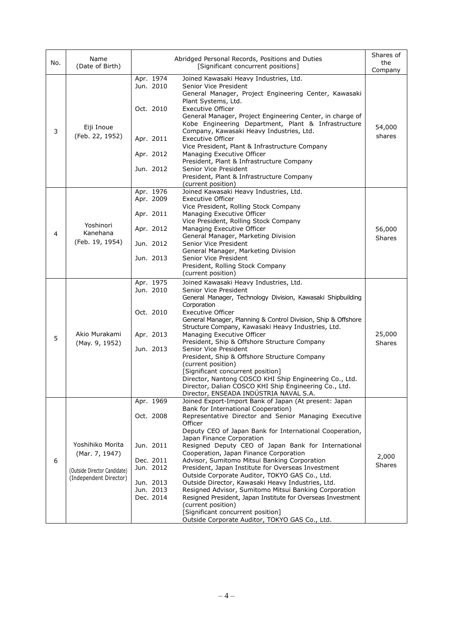| No. | Name<br>(Date of Birth)                                                                      | Abridged Personal Records, Positions and Duties<br>[Significant concurrent positions]                |                                                                                                                                                                                                                                                                                                                                                                                                                                                                                                                                                                                                                                                                                                                                                                                                             |                         |
|-----|----------------------------------------------------------------------------------------------|------------------------------------------------------------------------------------------------------|-------------------------------------------------------------------------------------------------------------------------------------------------------------------------------------------------------------------------------------------------------------------------------------------------------------------------------------------------------------------------------------------------------------------------------------------------------------------------------------------------------------------------------------------------------------------------------------------------------------------------------------------------------------------------------------------------------------------------------------------------------------------------------------------------------------|-------------------------|
| 3   | Eiji Inoue<br>(Feb. 22, 1952)                                                                | Apr. 1974<br>Jun. 2010<br>Oct. 2010<br>Apr. 2011<br>Apr. 2012<br>Jun. 2012                           | Joined Kawasaki Heavy Industries, Ltd.<br>Senior Vice President<br>General Manager, Project Engineering Center, Kawasaki<br>Plant Systems, Ltd.<br><b>Executive Officer</b><br>General Manager, Project Engineering Center, in charge of<br>Kobe Engineering Department, Plant & Infrastructure<br>Company, Kawasaki Heavy Industries, Ltd.<br><b>Executive Officer</b><br>Vice President, Plant & Infrastructure Company<br>Managing Executive Officer<br>President, Plant & Infrastructure Company<br>Senior Vice President<br>President, Plant & Infrastructure Company<br>(current position)                                                                                                                                                                                                            | 54,000<br>shares        |
| 4   | Yoshinori<br>Kanehana<br>(Feb. 19, 1954)                                                     | Apr. 1976<br>Apr. 2009<br>Apr. 2011<br>Apr. 2012<br>Jun. 2012<br>Jun. 2013                           | Joined Kawasaki Heavy Industries, Ltd.<br><b>Executive Officer</b><br>Vice President, Rolling Stock Company<br>Managing Executive Officer<br>Vice President, Rolling Stock Company<br>Managing Executive Officer<br>General Manager, Marketing Division<br>Senior Vice President<br>General Manager, Marketing Division<br>Senior Vice President<br>President, Rolling Stock Company<br>(current position)                                                                                                                                                                                                                                                                                                                                                                                                  | 56,000<br>Shares        |
| 5   | Akio Murakami<br>(May. 9, 1952)                                                              | Apr. 1975<br>Jun. 2010<br>Oct. 2010<br>Apr. 2013<br>Jun. 2013                                        | Joined Kawasaki Heavy Industries, Ltd.<br>Senior Vice President<br>General Manager, Technology Division, Kawasaki Shipbuilding<br>Corporation<br>Executive Officer<br>General Manager, Planning & Control Division, Ship & Offshore<br>Structure Company, Kawasaki Heavy Industries, Ltd.<br>Managing Executive Officer<br>President, Ship & Offshore Structure Company<br>Senior Vice President<br>President, Ship & Offshore Structure Company<br>(current position)<br>[Significant concurrent position]<br>Director, Nantong COSCO KHI Ship Engineering Co., Ltd.<br>Director, Dalian COSCO KHI Ship Engineering Co., Ltd.<br>Director, ENSEADA INDÚSTRIA NAVAL S.A.                                                                                                                                    | 25,000<br><b>Shares</b> |
| 6   | Yoshihiko Morita<br>(Mar. 7, 1947)<br>(Outside Director Candidate)<br>(Independent Director) | Apr. 1969<br>Oct. 2008<br>Jun. 2011<br>Dec. 2011<br>Jun. 2012<br>Jun. 2013<br>Jun. 2013<br>Dec. 2014 | Joined Export-Import Bank of Japan (At present: Japan<br>Bank for International Cooperation)<br>Representative Director and Senior Managing Executive<br>Officer<br>Deputy CEO of Japan Bank for International Cooperation,<br>Japan Finance Corporation<br>Resigned Deputy CEO of Japan Bank for International<br>Cooperation, Japan Finance Corporation<br>Advisor, Sumitomo Mitsui Banking Corporation<br>President, Japan Institute for Overseas Investment<br>Outside Corporate Auditor, TOKYO GAS Co., Ltd.<br>Outside Director, Kawasaki Heavy Industries, Ltd.<br>Resigned Advisor, Sumitomo Mitsui Banking Corporation<br>Resigned President, Japan Institute for Overseas Investment<br>(current position)<br>[Significant concurrent position]<br>Outside Corporate Auditor, TOKYO GAS Co., Ltd. | 2,000<br><b>Shares</b>  |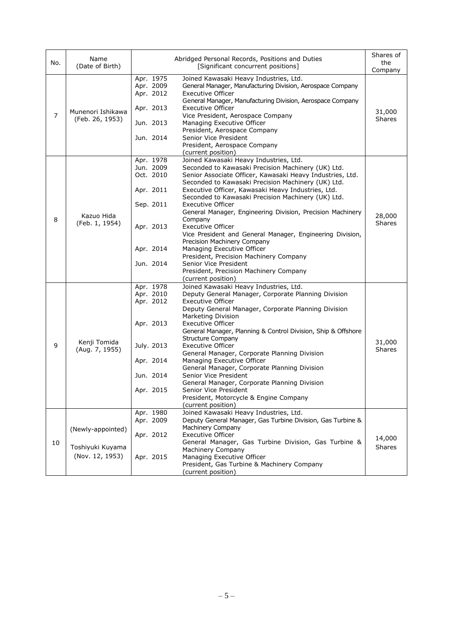| No.            | Name<br>(Date of Birth)                                  |                                                                                                       | Abridged Personal Records, Positions and Duties<br>[Significant concurrent positions]                                                                                                                                                                                                                                                                                                                                                                                                                                                                                                                                                                                                                                     |                         |  |
|----------------|----------------------------------------------------------|-------------------------------------------------------------------------------------------------------|---------------------------------------------------------------------------------------------------------------------------------------------------------------------------------------------------------------------------------------------------------------------------------------------------------------------------------------------------------------------------------------------------------------------------------------------------------------------------------------------------------------------------------------------------------------------------------------------------------------------------------------------------------------------------------------------------------------------------|-------------------------|--|
| $\overline{7}$ | Munenori Ishikawa<br>(Feb. 26, 1953)                     | Apr. 1975<br>Apr. 2009<br>Apr. 2012<br>Apr. 2013<br>Jun. 2013<br>Jun. 2014                            | Joined Kawasaki Heavy Industries, Ltd.<br>General Manager, Manufacturing Division, Aerospace Company<br><b>Executive Officer</b><br>General Manager, Manufacturing Division, Aerospace Company<br><b>Executive Officer</b><br>Vice President, Aerospace Company<br>Managing Executive Officer<br>President, Aerospace Company<br>Senior Vice President<br>President, Aerospace Company<br>(current position)                                                                                                                                                                                                                                                                                                              | 31,000<br><b>Shares</b> |  |
| 8              | Kazuo Hida<br>(Feb. 1, 1954)                             | Apr. 1978<br>Jun. 2009<br>Oct. 2010<br>Apr. 2011<br>Sep. 2011<br>Apr. 2013<br>Apr. 2014<br>Jun. 2014  | Joined Kawasaki Heavy Industries, Ltd.<br>Seconded to Kawasaki Precision Machinery (UK) Ltd.<br>Senior Associate Officer, Kawasaki Heavy Industries, Ltd.<br>Seconded to Kawasaki Precision Machinery (UK) Ltd.<br>Executive Officer, Kawasaki Heavy Industries, Ltd.<br>Seconded to Kawasaki Precision Machinery (UK) Ltd.<br><b>Executive Officer</b><br>General Manager, Engineering Division, Precision Machinery<br>Company<br><b>Executive Officer</b><br>Vice President and General Manager, Engineering Division,<br>Precision Machinery Company<br>Managing Executive Officer<br>President, Precision Machinery Company<br>Senior Vice President<br>President, Precision Machinery Company<br>(current position) | 28,000<br><b>Shares</b> |  |
| 9              | Kenji Tomida<br>(Aug. 7, 1955)                           | Apr. 1978<br>Apr. 2010<br>Apr. 2012<br>Apr. 2013<br>July. 2013<br>Apr. 2014<br>Jun. 2014<br>Apr. 2015 | Joined Kawasaki Heavy Industries, Ltd.<br>Deputy General Manager, Corporate Planning Division<br><b>Executive Officer</b><br>Deputy General Manager, Corporate Planning Division<br>Marketing Division<br><b>Executive Officer</b><br>General Manager, Planning & Control Division, Ship & Offshore<br><b>Structure Company</b><br>Executive Officer<br>General Manager, Corporate Planning Division<br>Managing Executive Officer<br>General Manager, Corporate Planning Division<br>Senior Vice President<br>General Manager, Corporate Planning Division<br>Senior Vice President<br>President, Motorcycle & Engine Company<br>(current position)                                                                      | 31,000<br><b>Shares</b> |  |
| 10             | (Newly-appointed)<br>Toshiyuki Kuyama<br>(Nov. 12, 1953) | Apr. 1980<br>Apr. 2009<br>Apr. 2012<br>Apr. 2015                                                      | Joined Kawasaki Heavy Industries, Ltd.<br>Deputy General Manager, Gas Turbine Division, Gas Turbine &<br>Machinery Company<br><b>Executive Officer</b><br>General Manager, Gas Turbine Division, Gas Turbine &<br>Machinery Company<br>Managing Executive Officer<br>President, Gas Turbine & Machinery Company<br>(current position)                                                                                                                                                                                                                                                                                                                                                                                     | 14,000<br><b>Shares</b> |  |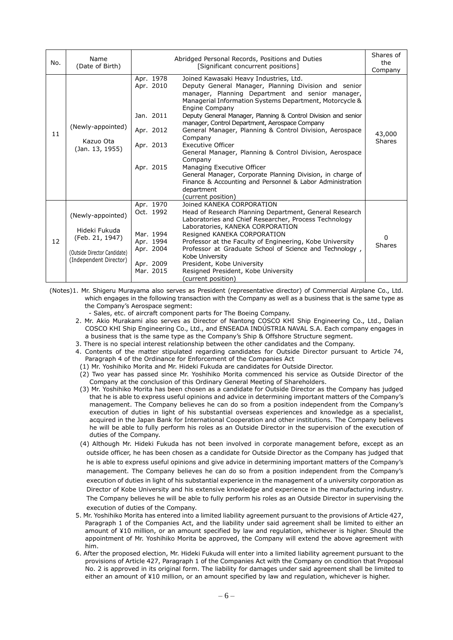| No. | Name<br>(Date of Birth)                                                                                         |                                                                                         | Abridged Personal Records, Positions and Duties<br>[Significant concurrent positions]                                                                                                                                                                                                                                                                                                                                                                                                                                                                                                                                                                                                                                    | Shares of<br>the<br>Company |
|-----|-----------------------------------------------------------------------------------------------------------------|-----------------------------------------------------------------------------------------|--------------------------------------------------------------------------------------------------------------------------------------------------------------------------------------------------------------------------------------------------------------------------------------------------------------------------------------------------------------------------------------------------------------------------------------------------------------------------------------------------------------------------------------------------------------------------------------------------------------------------------------------------------------------------------------------------------------------------|-----------------------------|
| 11  | (Newly-appointed)<br>Kazuo Ota<br>(Jan. 13, 1955)                                                               | Apr. 1978<br>Apr. 2010<br>Jan. 2011<br>Apr. 2012<br>Apr. 2013<br>Apr. 2015              | Joined Kawasaki Heavy Industries, Ltd.<br>Deputy General Manager, Planning Division and senior<br>manager, Planning Department and senior manager,<br>Managerial Information Systems Department, Motorcycle &<br>Engine Company<br>Deputy General Manager, Planning & Control Division and senior<br>manager, Control Department, Aerospace Company<br>General Manager, Planning & Control Division, Aerospace<br>Company<br><b>Executive Officer</b><br>General Manager, Planning & Control Division, Aerospace<br>Company<br>Managing Executive Officer<br>General Manager, Corporate Planning Division, in charge of<br>Finance & Accounting and Personnel & Labor Administration<br>department<br>(current position) | 43,000<br>Shares            |
| 12  | (Newly-appointed)<br>Hideki Fukuda<br>(Feb. 21, 1947)<br>(Outside Director Candidate)<br>(Independent Director) | Apr. 1970<br>Oct. 1992<br>Mar. 1994<br>Apr. 1994<br>Apr. 2004<br>Apr. 2009<br>Mar. 2015 | Joined KANEKA CORPORATION<br>Head of Research Planning Department, General Research<br>Laboratories and Chief Researcher, Process Technology<br>Laboratories, KANEKA CORPORATION<br>Resigned KANEKA CORPORATION<br>Professor at the Faculty of Engineering, Kobe University<br>Professor at Graduate School of Science and Technology,<br>Kobe University<br>President, Kobe University<br>Resigned President, Kobe University<br>(current position)                                                                                                                                                                                                                                                                     | 0<br><b>Shares</b>          |

(Notes)1. Mr. Shigeru Murayama also serves as President (representative director) of Commercial Airplane Co., Ltd. which engages in the following transaction with the Company as well as a business that is the same type as the Company's Aerospace segment:

- Sales, etc. of aircraft component parts for The Boeing Company.

- 2. Mr. Akio Murakami also serves as Director of Nantong COSCO KHI Ship Engineering Co., Ltd., Dalian COSCO KHI Ship Engineering Co., Ltd., and ENSEADA INDÚSTRIA NAVAL S.A. Each company engages in a business that is the same type as the Company's Ship & Offshore Structure segment.
- 3. There is no special interest relationship between the other candidates and the Company.
- 4. Contents of the matter stipulated regarding candidates for Outside Director pursuant to Article 74, Paragraph 4 of the Ordinance for Enforcement of the Companies Act
- (1) Mr. Yoshihiko Morita and Mr. Hideki Fukuda are candidates for Outside Director.
- (2) Two year has passed since Mr. Yoshihiko Morita commenced his service as Outside Director of the Company at the conclusion of this Ordinary General Meeting of Shareholders.
- (3) Mr. Yoshihiko Morita has been chosen as a candidate for Outside Director as the Company has judged that he is able to express useful opinions and advice in determining important matters of the Company's management. The Company believes he can do so from a position independent from the Company's execution of duties in light of his substantial overseas experiences and knowledge as a specialist, acquired in the Japan Bank for International Cooperation and other institutions. The Company believes he will be able to fully perform his roles as an Outside Director in the supervision of the execution of duties of the Company.
- (4) Although Mr. Hideki Fukuda has not been involved in corporate management before, except as an outside officer, he has been chosen as a candidate for Outside Director as the Company has judged that he is able to express useful opinions and give advice in determining important matters of the Company's management. The Company believes he can do so from a position independent from the Company's execution of duties in light of his substantial experience in the management of a university corporation as Director of Kobe University and his extensive knowledge and experience in the manufacturing industry. The Company believes he will be able to fully perform his roles as an Outside Director in supervising the execution of duties of the Company.
- 5. Mr. Yoshihiko Morita has entered into a limited liability agreement pursuant to the provisions of Article 427, Paragraph 1 of the Companies Act, and the liability under said agreement shall be limited to either an amount of ¥10 million, or an amount specified by law and regulation, whichever is higher. Should the appointment of Mr. Yoshihiko Morita be approved, the Company will extend the above agreement with him.
- 6. After the proposed election, Mr. Hideki Fukuda will enter into a limited liability agreement pursuant to the provisions of Article 427, Paragraph 1 of the Companies Act with the Company on condition that Proposal No. 2 is approved in its original form. The liability for damages under said agreement shall be limited to either an amount of ¥10 million, or an amount specified by law and regulation, whichever is higher.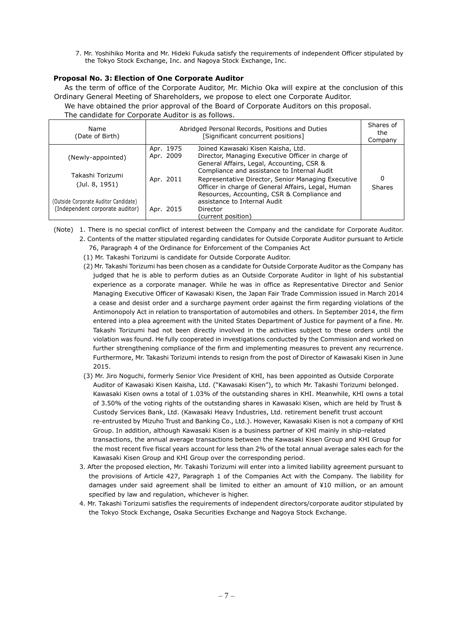7. Mr. Yoshihiko Morita and Mr. Hideki Fukuda satisfy the requirements of independent Officer stipulated by the Tokyo Stock Exchange, Inc. and Nagoya Stock Exchange, Inc.

### **Proposal No. 3: Election of One Corporate Auditor**

As the term of office of the Corporate Auditor, Mr. Michio Oka will expire at the conclusion of this Ordinary General Meeting of Shareholders, we propose to elect one Corporate Auditor.

We have obtained the prior approval of the Board of Corporate Auditors on this proposal.

The candidate for Corporate Auditor is as follows.

| Name<br>(Date of Birth)                                                     | Abridged Personal Records, Positions and Duties | Shares of<br>the<br>Company                                                                                                                                                             |             |
|-----------------------------------------------------------------------------|-------------------------------------------------|-----------------------------------------------------------------------------------------------------------------------------------------------------------------------------------------|-------------|
| (Newly-appointed)                                                           | Apr. 1975<br>Apr. 2009                          | Joined Kawasaki Kisen Kaisha, Ltd.<br>Director, Managing Executive Officer in charge of<br>General Affairs, Legal, Accounting, CSR &<br>Compliance and assistance to Internal Audit     |             |
| Takashi Torizumi<br>(Jul. 8, 1951)<br>(Outside Corporate Auditor Candidate) | Apr. 2011                                       | Representative Director, Senior Managing Executive<br>Officer in charge of General Affairs, Legal, Human<br>Resources, Accounting, CSR & Compliance and<br>assistance to Internal Audit | 0<br>Shares |
| (Independent corporate auditor)                                             | Apr. 2015                                       | Director<br>(current position)                                                                                                                                                          |             |

(Note) 1. There is no special conflict of interest between the Company and the candidate for Corporate Auditor. 2. Contents of the matter stipulated regarding candidates for Outside Corporate Auditor pursuant to Article

- 76, Paragraph 4 of the Ordinance for Enforcement of the Companies Act
- (1) Mr. Takashi Torizumi is candidate for Outside Corporate Auditor.
- (2) Mr. Takashi Torizumi has been chosen as a candidate for Outside Corporate Auditor as the Company has judged that he is able to perform duties as an Outside Corporate Auditor in light of his substantial experience as a corporate manager. While he was in office as Representative Director and Senior Managing Executive Officer of Kawasaki Kisen, the Japan Fair Trade Commission issued in March 2014 a cease and desist order and a surcharge payment order against the firm regarding violations of the Antimonopoly Act in relation to transportation of automobiles and others. In September 2014, the firm entered into a plea agreement with the United States Department of Justice for payment of a fine. Mr. Takashi Torizumi had not been directly involved in the activities subject to these orders until the violation was found. He fully cooperated in investigations conducted by the Commission and worked on further strengthening compliance of the firm and implementing measures to prevent any recurrence. Furthermore, Mr. Takashi Torizumi intends to resign from the post of Director of Kawasaki Kisen in June 2015.
- (3) Mr. Jiro Noguchi, formerly Senior Vice President of KHI, has been appointed as Outside Corporate Auditor of Kawasaki Kisen Kaisha, Ltd. ("Kawasaki Kisen"), to which Mr. Takashi Torizumi belonged. Kawasaki Kisen owns a total of 1.03% of the outstanding shares in KHI. Meanwhile, KHI owns a total of 3.50% of the voting rights of the outstanding shares in Kawasaki Kisen, which are held by Trust & Custody Services Bank, Ltd. (Kawasaki Heavy Industries, Ltd. retirement benefit trust account re-entrusted by Mizuho Trust and Banking Co., Ltd.). However, Kawasaki Kisen is not a company of KHI Group. In addition, although Kawasaki Kisen is a business partner of KHI mainly in ship-related transactions, the annual average transactions between the Kawasaki Kisen Group and KHI Group for the most recent five fiscal years account for less than 2% of the total annual average sales each for the Kawasaki Kisen Group and KHI Group over the corresponding period.
- 3. After the proposed election, Mr. Takashi Torizumi will enter into a limited liability agreement pursuant to the provisions of Article 427, Paragraph 1 of the Companies Act with the Company. The liability for damages under said agreement shall be limited to either an amount of ¥10 million, or an amount specified by law and regulation, whichever is higher.
- 4. Mr. Takashi Torizumi satisfies the requirements of independent directors/corporate auditor stipulated by the Tokyo Stock Exchange, Osaka Securities Exchange and Nagoya Stock Exchange.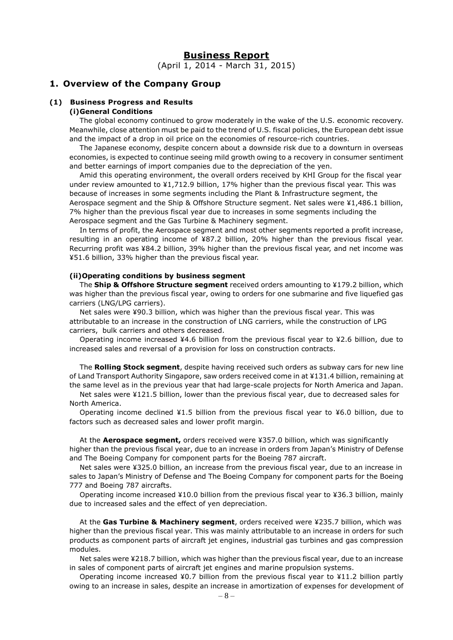### **Business Report**

(April 1, 2014 - March 31, 2015)

# **1. Overview of the Company Group**

# **(1) Business Progress and Results**

## **(i)General Conditions**

The global economy continued to grow moderately in the wake of the U.S. economic recovery. Meanwhile, close attention must be paid to the trend of U.S. fiscal policies, the European debt issue and the impact of a drop in oil price on the economies of resource-rich countries.

The Japanese economy, despite concern about a downside risk due to a downturn in overseas economies, is expected to continue seeing mild growth owing to a recovery in consumer sentiment and better earnings of import companies due to the depreciation of the yen.

Amid this operating environment, the overall orders received by KHI Group for the fiscal year under review amounted to ¥1,712.9 billion, 17% higher than the previous fiscal year. This was because of increases in some segments including the Plant & Infrastructure segment, the Aerospace segment and the Ship & Offshore Structure segment. Net sales were ¥1,486.1 billion, 7% higher than the previous fiscal year due to increases in some segments including the Aerospace segment and the Gas Turbine & Machinery segment.

In terms of profit, the Aerospace segment and most other segments reported a profit increase, resulting in an operating income of ¥87.2 billion, 20% higher than the previous fiscal year. Recurring profit was ¥84.2 billion, 39% higher than the previous fiscal year, and net income was ¥51.6 billion, 33% higher than the previous fiscal year.

#### **(ii)Operating conditions by business segment**

The **Ship & Offshore Structure segment** received orders amounting to ¥179.2 billion, which was higher than the previous fiscal year, owing to orders for one submarine and five liquefied gas carriers (LNG/LPG carriers).

Net sales were ¥90.3 billion, which was higher than the previous fiscal year. This was attributable to an increase in the construction of LNG carriers, while the construction of LPG carriers, bulk carriers and others decreased.

Operating income increased ¥4.6 billion from the previous fiscal year to ¥2.6 billion, due to increased sales and reversal of a provision for loss on construction contracts.

The **Rolling Stock segment**, despite having received such orders as subway cars for new line of Land Transport Authority Singapore, saw orders received come in at ¥131.4 billion, remaining at the same level as in the previous year that had large-scale projects for North America and Japan.

Net sales were ¥121.5 billion, lower than the previous fiscal year, due to decreased sales for North America.

Operating income declined ¥1.5 billion from the previous fiscal year to ¥6.0 billion, due to factors such as decreased sales and lower profit margin.

At the **Aerospace segment,** orders received were ¥357.0 billion, which was significantly higher than the previous fiscal year, due to an increase in orders from Japan's Ministry of Defense and The Boeing Company for component parts for the Boeing 787 aircraft.

Net sales were ¥325.0 billion, an increase from the previous fiscal year, due to an increase in sales to Japan's Ministry of Defense and The Boeing Company for component parts for the Boeing 777 and Boeing 787 aircrafts.

Operating income increased ¥10.0 billion from the previous fiscal year to ¥36.3 billion, mainly due to increased sales and the effect of yen depreciation.

At the **Gas Turbine & Machinery segment**, orders received were ¥235.7 billion, which was higher than the previous fiscal year. This was mainly attributable to an increase in orders for such products as component parts of aircraft jet engines, industrial gas turbines and gas compression modules.

Net sales were ¥218.7 billion, which was higher than the previous fiscal year, due to an increase in sales of component parts of aircraft jet engines and marine propulsion systems.

Operating income increased ¥0.7 billion from the previous fiscal year to ¥11.2 billion partly owing to an increase in sales, despite an increase in amortization of expenses for development of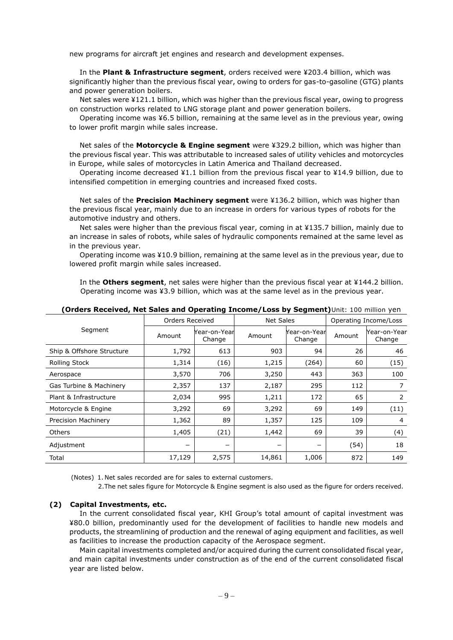new programs for aircraft jet engines and research and development expenses.

In the **Plant & Infrastructure segment**, orders received were ¥203.4 billion, which was significantly higher than the previous fiscal year, owing to orders for gas-to-gasoline (GTG) plants and power generation boilers.

Net sales were ¥121.1 billion, which was higher than the previous fiscal year, owing to progress on construction works related to LNG storage plant and power generation boilers.

Operating income was ¥6.5 billion, remaining at the same level as in the previous year, owing to lower profit margin while sales increase.

Net sales of the **Motorcycle & Engine segment** were ¥329.2 billion, which was higher than the previous fiscal year. This was attributable to increased sales of utility vehicles and motorcycles in Europe, while sales of motorcycles in Latin America and Thailand decreased.

Operating income decreased ¥1.1 billion from the previous fiscal year to ¥14.9 billion, due to intensified competition in emerging countries and increased fixed costs.

Net sales of the **Precision Machinery segment** were ¥136.2 billion, which was higher than the previous fiscal year, mainly due to an increase in orders for various types of robots for the automotive industry and others.

Net sales were higher than the previous fiscal year, coming in at ¥135.7 billion, mainly due to an increase in sales of robots, while sales of hydraulic components remained at the same level as in the previous year.

Operating income was ¥10.9 billion, remaining at the same level as in the previous year, due to lowered profit margin while sales increased.

In the **Others segment**, net sales were higher than the previous fiscal year at ¥144.2 billion. Operating income was ¥3.9 billion, which was at the same level as in the previous year.

|                            | Orders Received |                        |        | Net Sales              |        | Operating Income/Loss  |  |
|----------------------------|-----------------|------------------------|--------|------------------------|--------|------------------------|--|
| Segment                    | Amount          | Year-on-Year<br>Change | Amount | Year-on-Year<br>Change | Amount | Year-on-Year<br>Change |  |
| Ship & Offshore Structure  | 1,792           | 613                    | 903    | 94                     | 26     | 46                     |  |
| <b>Rolling Stock</b>       | 1,314           | (16)                   | 1,215  | (264)                  | 60     | (15)                   |  |
| Aerospace                  | 3,570           | 706                    | 3,250  | 443                    | 363    | 100                    |  |
| Gas Turbine & Machinery    | 2,357           | 137                    | 2,187  | 295                    | 112    |                        |  |
| Plant & Infrastructure     | 2,034           | 995                    | 1,211  | 172                    | 65     | 2                      |  |
| Motorcycle & Engine        | 3,292           | 69                     | 3,292  | 69                     | 149    | (11)                   |  |
| <b>Precision Machinery</b> | 1,362           | 89                     | 1,357  | 125                    | 109    | 4                      |  |
| <b>Others</b>              | 1,405           | (21)                   | 1,442  | 69                     | 39     | (4)                    |  |
| Adjustment                 |                 | -                      | -      |                        | (54)   | 18                     |  |
| Total                      | 17,129          | 2,575                  | 14,861 | 1,006                  | 872    | 149                    |  |

**(Orders Received, Net Sales and Operating Income/Loss by Segment)**Unit: 100 million yen

(Notes) 1. Net sales recorded are for sales to external customers.

2.The net sales figure for Motorcycle & Engine segment is also used as the figure for orders received.

### **(2) Capital Investments, etc.**

In the current consolidated fiscal year, KHI Group's total amount of capital investment was ¥80.0 billion, predominantly used for the development of facilities to handle new models and products, the streamlining of production and the renewal of aging equipment and facilities, as well as facilities to increase the production capacity of the Aerospace segment.

Main capital investments completed and/or acquired during the current consolidated fiscal year, and main capital investments under construction as of the end of the current consolidated fiscal year are listed below.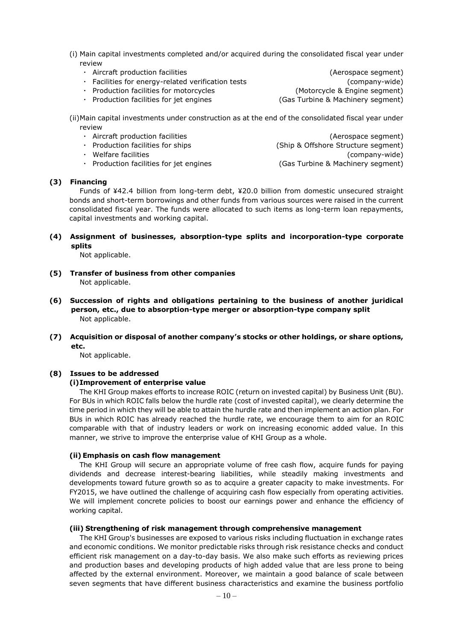- (i) Main capital investments completed and/or acquired during the consolidated fiscal year under review
	- Aircraft production facilities (Aerospace segment) ・ Facilities for energy-related verification tests (company-wide) ・ Production facilities for motorcycles (Motorcycle & Engine segment) • Production facilities for jet engines (Gas Turbine & Machinery segment)

(ii)Main capital investments under construction as at the end of the consolidated fiscal year under review

• Aircraft production facilities (Aerospace segment) • Production facilities for ships (Ship & Offshore Structure segment) ・ Welfare facilities (company-wide) • Production facilities for jet engines (Gas Turbine & Machinery segment)

### **(3) Financing**

Funds of ¥42.4 billion from long-term debt, ¥20.0 billion from domestic unsecured straight bonds and short-term borrowings and other funds from various sources were raised in the current consolidated fiscal year. The funds were allocated to such items as long-term loan repayments, capital investments and working capital.

### **(4) Assignment of businesses, absorption-type splits and incorporation-type corporate splits**

Not applicable.

- **(5) Transfer of business from other companies** Not applicable.
- **(6) Succession of rights and obligations pertaining to the business of another juridical person, etc., due to absorption-type merger or absorption-type company split** Not applicable.
- **(7) Acquisition or disposal of another company's stocks or other holdings, or share options, etc.**

Not applicable.

### **(8) Issues to be addressed**

### **(i)Improvement of enterprise value**

The KHI Group makes efforts to increase ROIC (return on invested capital) by Business Unit (BU). For BUs in which ROIC falls below the hurdle rate (cost of invested capital), we clearly determine the time period in which they will be able to attain the hurdle rate and then implement an action plan. For BUs in which ROIC has already reached the hurdle rate, we encourage them to aim for an ROIC comparable with that of industry leaders or work on increasing economic added value. In this manner, we strive to improve the enterprise value of KHI Group as a whole.

### **(ii) Emphasis on cash flow management**

The KHI Group will secure an appropriate volume of free cash flow, acquire funds for paying dividends and decrease interest-bearing liabilities, while steadily making investments and developments toward future growth so as to acquire a greater capacity to make investments. For FY2015, we have outlined the challenge of acquiring cash flow especially from operating activities. We will implement concrete policies to boost our earnings power and enhance the efficiency of working capital.

### **(iii) Strengthening of risk management through comprehensive management**

The KHI Group's businesses are exposed to various risks including fluctuation in exchange rates and economic conditions. We monitor predictable risks through risk resistance checks and conduct efficient risk management on a day-to-day basis. We also make such efforts as reviewing prices and production bases and developing products of high added value that are less prone to being affected by the external environment. Moreover, we maintain a good balance of scale between seven segments that have different business characteristics and examine the business portfolio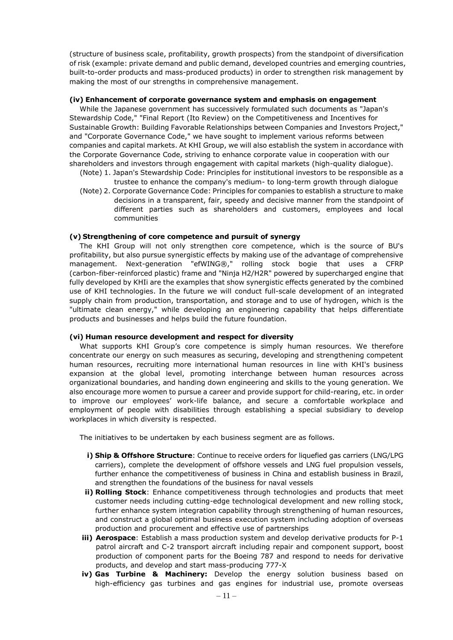(structure of business scale, profitability, growth prospects) from the standpoint of diversification of risk (example: private demand and public demand, developed countries and emerging countries, built-to-order products and mass-produced products) in order to strengthen risk management by making the most of our strengths in comprehensive management.

### **(iv) Enhancement of corporate governance system and emphasis on engagement**

While the Japanese government has successively formulated such documents as "Japan's Stewardship Code," "Final Report (Ito Review) on the Competitiveness and Incentives for Sustainable Growth: Building Favorable Relationships between Companies and Investors Project," and "Corporate Governance Code," we have sought to implement various reforms between companies and capital markets. At KHI Group, we will also establish the system in accordance with the Corporate Governance Code, striving to enhance corporate value in cooperation with our shareholders and investors through engagement with capital markets (high-quality dialogue).

- (Note) 1. Japan's Stewardship Code: Principles for institutional investors to be responsible as a trustee to enhance the company's medium- to long-term growth through dialogue (Note) 2. Corporate Governance Code: Principles for companies to establish a structure to make
	- decisions in a transparent, fair, speedy and decisive manner from the standpoint of different parties such as shareholders and customers, employees and local communities

### **(v) Strengthening of core competence and pursuit of synergy**

The KHI Group will not only strengthen core competence, which is the source of BU's profitability, but also pursue synergistic effects by making use of the advantage of comprehensive management. Next-generation "efWING®," rolling stock bogie that uses a CFRP (carbon-fiber-reinforced plastic) frame and "Ninja H2/H2R" powered by supercharged engine that fully developed by KHIi are the examples that show synergistic effects generated by the combined use of KHI technologies. In the future we will conduct full-scale development of an integrated supply chain from production, transportation, and storage and to use of hydrogen, which is the "ultimate clean energy," while developing an engineering capability that helps differentiate products and businesses and helps build the future foundation.

### **(vi) Human resource development and respect for diversity**

What supports KHI Group's core competence is simply human resources. We therefore concentrate our energy on such measures as securing, developing and strengthening competent human resources, recruiting more international human resources in line with KHI's business expansion at the global level, promoting interchange between human resources across organizational boundaries, and handing down engineering and skills to the young generation. We also encourage more women to pursue a career and provide support for child-rearing, etc. in order to improve our employees' work-life balance, and secure a comfortable workplace and employment of people with disabilities through establishing a special subsidiary to develop workplaces in which diversity is respected.

The initiatives to be undertaken by each business segment are as follows.

- **i) Ship & Offshore Structure**: Continue to receive orders for liquefied gas carriers (LNG/LPG carriers), complete the development of offshore vessels and LNG fuel propulsion vessels, further enhance the competitiveness of business in China and establish business in Brazil, and strengthen the foundations of the business for naval vessels
- **ii) Rolling Stock**: Enhance competitiveness through technologies and products that meet customer needs including cutting-edge technological development and new rolling stock, further enhance system integration capability through strengthening of human resources, and construct a global optimal business execution system including adoption of overseas production and procurement and effective use of partnerships
- **iii) Aerospace**: Establish a mass production system and develop derivative products for P-1 patrol aircraft and C-2 transport aircraft including repair and component support, boost production of component parts for the Boeing 787 and respond to needs for derivative products, and develop and start mass-producing 777-X
- **iv) Gas Turbine & Machinery:** Develop the energy solution business based on high-efficiency gas turbines and gas engines for industrial use, promote overseas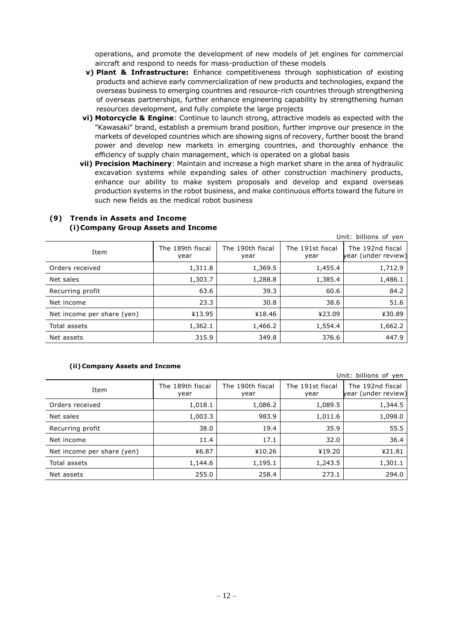operations, and promote the development of new models of jet engines for commercial aircraft and respond to needs for mass-production of these models

- **v) Plant & Infrastructure:** Enhance competitiveness through sophistication of existing products and achieve early commercialization of new products and technologies, expand the overseas business to emerging countries and resource-rich countries through strengthening of overseas partnerships, further enhance engineering capability by strengthening human resources development, and fully complete the large projects
- **vi) Motorcycle & Engine**: Continue to launch strong, attractive models as expected with the "Kawasaki" brand, establish a premium brand position, further improve our presence in the markets of developed countries which are showing signs of recovery, further boost the brand power and develop new markets in emerging countries, and thoroughly enhance the efficiency of supply chain management, which is operated on a global basis
- **vii) Precision Machinery**: Maintain and increase a high market share in the area of hydraulic excavation systems while expanding sales of other construction machinery products, enhance our ability to make system proposals and develop and expand overseas production systems in the robot business, and make continuous efforts toward the future in such new fields as the medical robot business

|                            |                          |                          |                          | Unit: billions of yen                   |
|----------------------------|--------------------------|--------------------------|--------------------------|-----------------------------------------|
| Item                       | The 189th fiscal<br>year | The 190th fiscal<br>year | The 191st fiscal<br>year | The 192nd fiscal<br>year (under review) |
| Orders received            | 1,311.8                  | 1,369.5                  | 1,455.4                  | 1,712.9                                 |
| Net sales                  | 1,303.7                  | 1,288.8                  | 1,385.4                  | 1,486.1                                 |
| Recurring profit           | 63.6                     | 39.3                     | 60.6                     | 84.2                                    |
| Net income                 | 23.3                     | 30.8                     | 38.6                     | 51.6                                    |
| Net income per share (yen) | ¥13.95                   | ¥18.46                   | ¥23.09                   | ¥30.89                                  |
| Total assets               | 1,362.1                  | 1,466.2                  | 1,554.4                  | 1,662.2                                 |
| Net assets                 | 315.9                    | 349.8                    | 376.6                    | 447.9                                   |

### **(9) Trends in Assets and Income (i)Company Group Assets and Income**

### **(ii) Company Assets and Income**

Unit: billions of yen Item The 189th fiscal year The 190th fiscal year The 191st fiscal year The 192nd fiscal ear (under review) Orders received 1.018.1 1,018.1 1,086.2 1,089.5 1,089.5 Net sales 1,003.3 | 983.9 | 1,011.6 | 1,098.0 Recurring profit 38.0 19.4 35.9 55.5 Net income 11.4 17.1 32.0 36.4 Net income per share (yen) ¥6.87 ¥10.26 ¥19.20 ¥21.81 Total assets 1,144.6 | 1,195.1 | 1,243.5 | 1,301.1 Net assets 255.0 258.4 273.1 294.0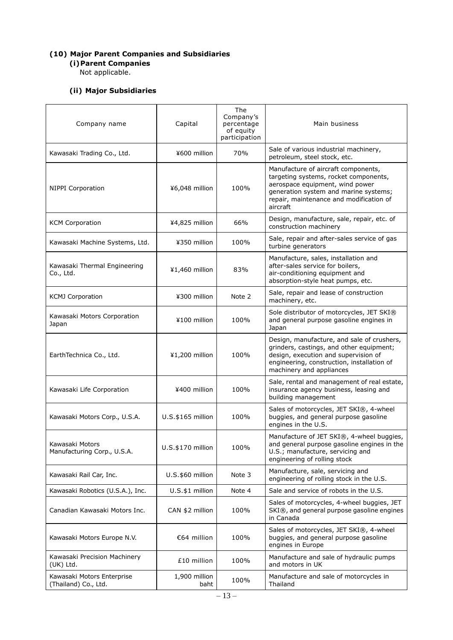### **(10) Major Parent Companies and Subsidiaries**

**(i)Parent Companies**

Not applicable.

# **(ii) Major Subsidiaries**

| Company name                                       | Capital               | The<br>Company's<br>percentage<br>of equity<br>participation | Main business                                                                                                                                                                                                   |
|----------------------------------------------------|-----------------------|--------------------------------------------------------------|-----------------------------------------------------------------------------------------------------------------------------------------------------------------------------------------------------------------|
| Kawasaki Trading Co., Ltd.                         | ¥600 million          | 70%                                                          | Sale of various industrial machinery,<br>petroleum, steel stock, etc.                                                                                                                                           |
| <b>NIPPI Corporation</b>                           | ¥6,048 million        | 100%                                                         | Manufacture of aircraft components,<br>targeting systems, rocket components,<br>aerospace equipment, wind power<br>generation system and marine systems;<br>repair, maintenance and modification of<br>aircraft |
| <b>KCM Corporation</b>                             | ¥4,825 million        | 66%                                                          | Design, manufacture, sale, repair, etc. of<br>construction machinery                                                                                                                                            |
| Kawasaki Machine Systems, Ltd.                     | ¥350 million          | 100%                                                         | Sale, repair and after-sales service of gas<br>turbine generators                                                                                                                                               |
| Kawasaki Thermal Engineering<br>Co., Ltd.          | ¥1,460 million        | 83%                                                          | Manufacture, sales, installation and<br>after-sales service for boilers,<br>air-conditioning equipment and<br>absorption-style heat pumps, etc.                                                                 |
| <b>KCMJ Corporation</b>                            | ¥300 million          | Note 2                                                       | Sale, repair and lease of construction<br>machinery, etc.                                                                                                                                                       |
| Kawasaki Motors Corporation<br>Japan               | ¥100 million          | 100%                                                         | Sole distributor of motorcycles, JET SKI®<br>and general purpose gasoline engines in<br>Japan                                                                                                                   |
| EarthTechnica Co., Ltd.                            | ¥1,200 million        | 100%                                                         | Design, manufacture, and sale of crushers,<br>grinders, castings, and other equipment;<br>design, execution and supervision of<br>engineering, construction, installation of<br>machinery and appliances        |
| Kawasaki Life Corporation                          | ¥400 million          | 100%                                                         | Sale, rental and management of real estate,<br>insurance agency business, leasing and<br>building management                                                                                                    |
| Kawasaki Motors Corp., U.S.A.                      | U.S.\$165 million     | 100%                                                         | Sales of motorcycles, JET SKI®, 4-wheel<br>buggies, and general purpose gasoline<br>engines in the U.S.                                                                                                         |
| Kawasaki Motors<br>Manufacturing Corp., U.S.A.     | $U.S.\$170$ million   | 100%                                                         | Manufacture of JET SKI®, 4-wheel buggies,<br>and general purpose gasoline engines in the<br>U.S.; manufacture, servicing and<br>engineering of rolling stock                                                    |
| Kawasaki Rail Car, Inc.                            | U.S.\$60 million      | Note 3                                                       | Manufacture, sale, servicing and<br>engineering of rolling stock in the U.S.                                                                                                                                    |
| Kawasaki Robotics (U.S.A.), Inc.                   | $U.S.\$1$ million     | Note 4                                                       | Sale and service of robots in the U.S.                                                                                                                                                                          |
| Canadian Kawasaki Motors Inc.                      | CAN \$2 million       | 100%                                                         | Sales of motorcycles, 4-wheel buggies, JET<br>SKI®, and general purpose gasoline engines<br>in Canada                                                                                                           |
| Kawasaki Motors Europe N.V.                        | €64 million           | 100%                                                         | Sales of motorcycles, JET SKI®, 4-wheel<br>buggies, and general purpose gasoline<br>engines in Europe                                                                                                           |
| Kawasaki Precision Machinery<br>(UK) Ltd.          | £10 million           | 100%                                                         | Manufacture and sale of hydraulic pumps<br>and motors in UK                                                                                                                                                     |
| Kawasaki Motors Enterprise<br>(Thailand) Co., Ltd. | 1,900 million<br>baht | 100%                                                         | Manufacture and sale of motorcycles in<br>Thailand                                                                                                                                                              |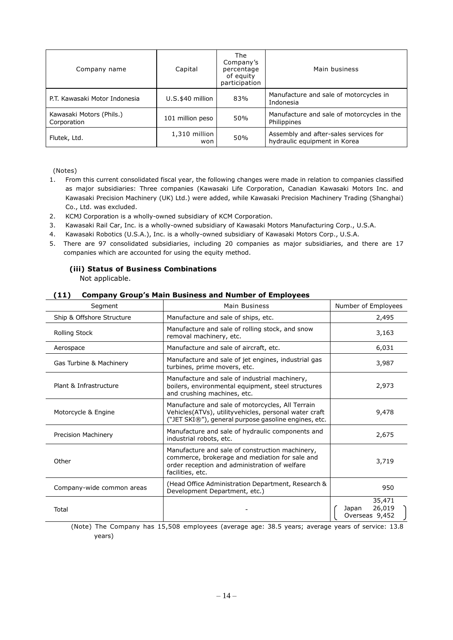| Company name                            | Capital              | <b>The</b><br>Company's<br>percentage<br>of equity<br>participation | Main business                                                         |
|-----------------------------------------|----------------------|---------------------------------------------------------------------|-----------------------------------------------------------------------|
| P.T. Kawasaki Motor Indonesia           | U.S.\$40 million     | 83%                                                                 | Manufacture and sale of motorcycles in<br>Indonesia                   |
| Kawasaki Motors (Phils.)<br>Corporation | 101 million peso     | 50%                                                                 | Manufacture and sale of motorcycles in the<br>Philippines             |
| Flutek, Ltd.                            | 1,310 million<br>won | 50%                                                                 | Assembly and after-sales services for<br>hydraulic equipment in Korea |

(Notes)

- 1. From this current consolidated fiscal year, the following changes were made in relation to companies classified as major subsidiaries: Three companies (Kawasaki Life Corporation, Canadian Kawasaki Motors Inc. and Kawasaki Precision Machinery (UK) Ltd.) were added, while Kawasaki Precision Machinery Trading (Shanghai) Co., Ltd. was excluded.
- 2. KCMJ Corporation is a wholly-owned subsidiary of KCM Corporation.
- 3. Kawasaki Rail Car, Inc. is a wholly-owned subsidiary of Kawasaki Motors Manufacturing Corp., U.S.A.
- 4. Kawasaki Robotics (U.S.A.), Inc. is a wholly-owned subsidiary of Kawasaki Motors Corp., U.S.A.
- 5. There are 97 consolidated subsidiaries, including 20 companies as major subsidiaries, and there are 17 companies which are accounted for using the equity method.

### **(iii) Status of Business Combinations** Not applicable.

### **(11) Company Group's Main Business and Number of Employees**

| Segment                    | Main Business                                                                                                                                                          | Number of Employees                         |
|----------------------------|------------------------------------------------------------------------------------------------------------------------------------------------------------------------|---------------------------------------------|
| Ship & Offshore Structure  | Manufacture and sale of ships, etc.                                                                                                                                    | 2,495                                       |
| <b>Rolling Stock</b>       | Manufacture and sale of rolling stock, and snow<br>removal machinery, etc.                                                                                             | 3,163                                       |
| Aerospace                  | Manufacture and sale of aircraft, etc.                                                                                                                                 | 6,031                                       |
| Gas Turbine & Machinery    | Manufacture and sale of jet engines, industrial gas<br>turbines, prime movers, etc.                                                                                    | 3,987                                       |
| Plant & Infrastructure     | Manufacture and sale of industrial machinery,<br>boilers, environmental equipment, steel structures<br>and crushing machines, etc.                                     | 2,973                                       |
| Motorcycle & Engine        | Manufacture and sale of motorcycles, All Terrain<br>Vehicles(ATVs), utilityvehicles, personal water craft<br>("JET SKI®"), general purpose gasoline engines, etc.      | 9,478                                       |
| <b>Precision Machinery</b> | Manufacture and sale of hydraulic components and<br>industrial robots, etc.                                                                                            | 2,675                                       |
| Other                      | Manufacture and sale of construction machinery,<br>commerce, brokerage and mediation for sale and<br>order reception and administration of welfare<br>facilities, etc. | 3,719                                       |
| Company-wide common areas  | (Head Office Administration Department, Research &<br>Development Department, etc.)                                                                                    | 950                                         |
| Total                      |                                                                                                                                                                        | 35,471<br>26,019<br>Japan<br>Overseas 9,452 |

(Note) The Company has 15,508 employees (average age: 38.5 years; average years of service: 13.8 years)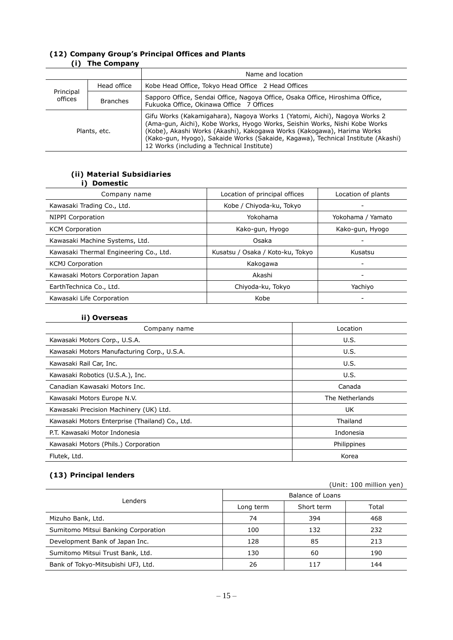|                      | $\mathbf{u}$ , $\mathbf{u}$ , $\mathbf{u}$ , $\mathbf{u}$ , $\mathbf{u}$ , $\mathbf{u}$ , $\mathbf{u}$ , $\mathbf{u}$ , $\mathbf{u}$ , $\mathbf{u}$ , $\mathbf{u}$ , $\mathbf{u}$ , $\mathbf{u}$ , $\mathbf{u}$ , $\mathbf{u}$ , $\mathbf{u}$ , $\mathbf{u}$ , $\mathbf{u}$ , $\mathbf{u}$ , $\mathbf{u}$ , $\mathbf{u}$ , $\mathbf{u}$ , |                                                                                                                                                                                                                                                                                                                                                                     |  |  |  |
|----------------------|-------------------------------------------------------------------------------------------------------------------------------------------------------------------------------------------------------------------------------------------------------------------------------------------------------------------------------------------|---------------------------------------------------------------------------------------------------------------------------------------------------------------------------------------------------------------------------------------------------------------------------------------------------------------------------------------------------------------------|--|--|--|
|                      |                                                                                                                                                                                                                                                                                                                                           | Name and location                                                                                                                                                                                                                                                                                                                                                   |  |  |  |
|                      | Head office                                                                                                                                                                                                                                                                                                                               | Kobe Head Office, Tokyo Head Office 2 Head Offices                                                                                                                                                                                                                                                                                                                  |  |  |  |
| Principal<br>offices | <b>Branches</b>                                                                                                                                                                                                                                                                                                                           | Sapporo Office, Sendai Office, Nagoya Office, Osaka Office, Hiroshima Office,<br>Fukuoka Office, Okinawa Office 7 Offices                                                                                                                                                                                                                                           |  |  |  |
| Plants, etc.         |                                                                                                                                                                                                                                                                                                                                           | Gifu Works (Kakamigahara), Nagoya Works 1 (Yatomi, Aichi), Nagoya Works 2<br>(Ama-gun, Aichi), Kobe Works, Hyogo Works, Seishin Works, Nishi Kobe Works<br>(Kobe), Akashi Works (Akashi), Kakogawa Works (Kakogawa), Harima Works<br>(Kako-gun, Hyogo), Sakaide Works (Sakaide, Kagawa), Technical Institute (Akashi)<br>12 Works (including a Technical Institute) |  |  |  |

### **(12) Company Group's Principal Offices and Plants (i) The Company**

### **(ii) Material Subsidiaries i) Domestic**

| Company name                           | Location of principal offices    | Location of plants |
|----------------------------------------|----------------------------------|--------------------|
| Kawasaki Trading Co., Ltd.             | Kobe / Chiyoda-ku, Tokyo         |                    |
| NIPPI Corporation                      | Yokohama                         | Yokohama / Yamato  |
| <b>KCM Corporation</b>                 | Kako-gun, Hyogo                  | Kako-gun, Hyogo    |
| Kawasaki Machine Systems, Ltd.         | Osaka                            |                    |
| Kawasaki Thermal Engineering Co., Ltd. | Kusatsu / Osaka / Koto-ku, Tokyo | Kusatsu            |
| <b>KCMJ Corporation</b>                | Kakogawa                         |                    |
| Kawasaki Motors Corporation Japan      | Akashi                           | -                  |
| EarthTechnica Co., Ltd.                | Chiyoda-ku, Tokyo                | Yachiyo            |
| Kawasaki Life Corporation              | Kobe                             |                    |

### **ii) Overseas**

| Company name                                    | Location        |
|-------------------------------------------------|-----------------|
| Kawasaki Motors Corp., U.S.A.                   | U.S.            |
| Kawasaki Motors Manufacturing Corp., U.S.A.     | U.S.            |
| Kawasaki Rail Car, Inc.                         | U.S.            |
| Kawasaki Robotics (U.S.A.), Inc.                | U.S.            |
| Canadian Kawasaki Motors Inc.                   | Canada          |
| Kawasaki Motors Europe N.V.                     | The Netherlands |
| Kawasaki Precision Machinery (UK) Ltd.          | <b>UK</b>       |
| Kawasaki Motors Enterprise (Thailand) Co., Ltd. | Thailand        |
| P.T. Kawasaki Motor Indonesia                   | Indonesia       |
| Kawasaki Motors (Phils.) Corporation            | Philippines     |
| Flutek, Ltd.                                    | Korea           |

# **(13) Principal lenders**

| (Unit: 100 million yen)             |                  |            |       |
|-------------------------------------|------------------|------------|-------|
| Lenders                             | Balance of Loans |            |       |
|                                     | Long term        | Short term | Total |
| Mizuho Bank, Ltd.                   | 74               | 394        | 468   |
| Sumitomo Mitsui Banking Corporation | 100              | 132        | 232   |
| Development Bank of Japan Inc.      | 128              | 85         | 213   |
| Sumitomo Mitsui Trust Bank, Ltd.    | 130              | 60         | 190   |
| Bank of Tokyo-Mitsubishi UFJ, Ltd.  | 26               | 117        | 144   |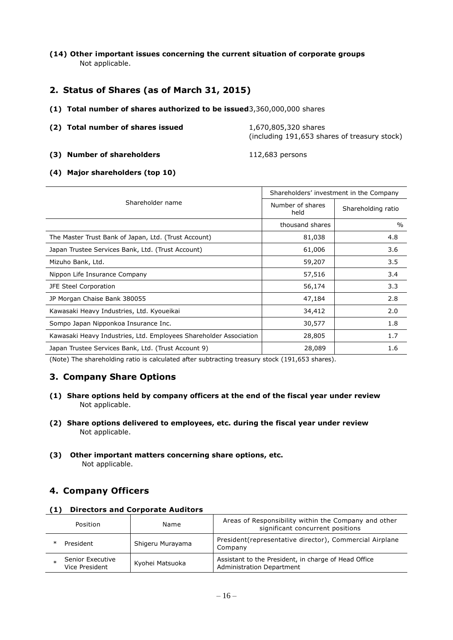**(14) Other important issues concerning the current situation of corporate groups** Not applicable.

# **2. Status of Shares (as of March 31, 2015)**

- **(1) Total number of shares authorized to be issued**3,360,000,000 shares
- **(2) Total number of shares issued** 1,670,805,320 shares (including 191,653 shares of treasury stock)
- **(3) Number of shareholders** 112,683 persons

**(4) Major shareholders (top 10)**

|                                                                   | Shareholders' investment in the Company |                    |  |
|-------------------------------------------------------------------|-----------------------------------------|--------------------|--|
| Shareholder name                                                  | Number of shares<br>held                | Shareholding ratio |  |
|                                                                   | thousand shares                         | $\frac{0}{0}$      |  |
| The Master Trust Bank of Japan, Ltd. (Trust Account)              | 81,038                                  | 4.8                |  |
| Japan Trustee Services Bank, Ltd. (Trust Account)                 | 61,006                                  | 3.6                |  |
| Mizuho Bank, Ltd.                                                 | 59,207                                  | 3.5                |  |
| Nippon Life Insurance Company                                     | 57,516                                  | 3.4                |  |
| JFE Steel Corporation                                             | 56,174                                  | 3.3                |  |
| JP Morgan Chaise Bank 380055                                      | 47,184                                  | 2.8                |  |
| Kawasaki Heavy Industries, Ltd. Kyoueikai                         | 34,412                                  | 2.0                |  |
| Sompo Japan Nipponkoa Insurance Inc.                              | 30,577                                  | 1.8                |  |
| Kawasaki Heavy Industries, Ltd. Employees Shareholder Association | 28,805                                  | 1.7                |  |
| Japan Trustee Services Bank, Ltd. (Trust Account 9)               | 28,089                                  | 1.6                |  |

(Note) The shareholding ratio is calculated after subtracting treasury stock (191,653 shares).

# **3. Company Share Options**

- **(1) Share options held by company officers at the end of the fiscal year under review** Not applicable.
- **(2) Share options delivered to employees, etc. during the fiscal year under review** Not applicable.
- **(3) Other important matters concerning share options, etc.** Not applicable.

# **4. Company Officers**

**(1) Directors and Corporate Auditors**

| Position                           | Name             | Areas of Responsibility within the Company and other<br>significant concurrent positions |
|------------------------------------|------------------|------------------------------------------------------------------------------------------|
| President                          | Shigeru Murayama | President (representative director), Commercial Airplane<br>Company                      |
| Senior Executive<br>Vice President | Kyohei Matsuoka  | Assistant to the President, in charge of Head Office<br><b>Administration Department</b> |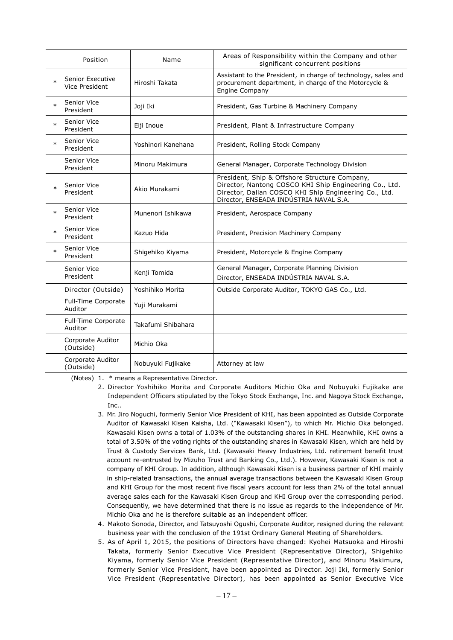|        | Position                           | Name               | Areas of Responsibility within the Company and other<br>significant concurrent positions                                                                                                                   |
|--------|------------------------------------|--------------------|------------------------------------------------------------------------------------------------------------------------------------------------------------------------------------------------------------|
| $\ast$ | Senior Executive<br>Vice President | Hiroshi Takata     | Assistant to the President, in charge of technology, sales and<br>procurement department, in charge of the Motorcycle &<br>Engine Company                                                                  |
| $\ast$ | Senior Vice<br>President           | Joji Iki           | President, Gas Turbine & Machinery Company                                                                                                                                                                 |
| $\ast$ | Senior Vice<br>President           | Eiji Inoue         | President, Plant & Infrastructure Company                                                                                                                                                                  |
| $\ast$ | Senior Vice<br>President           | Yoshinori Kanehana | President, Rolling Stock Company                                                                                                                                                                           |
|        | Senior Vice<br>President           | Minoru Makimura    | General Manager, Corporate Technology Division                                                                                                                                                             |
|        | Senior Vice<br>President           | Akio Murakami      | President, Ship & Offshore Structure Company,<br>Director, Nantong COSCO KHI Ship Engineering Co., Ltd.<br>Director, Dalian COSCO KHI Ship Engineering Co., Ltd.<br>Director, ENSEADA INDÚSTRIA NAVAL S.A. |
| $\ast$ | Senior Vice<br>President           | Munenori Ishikawa  | President, Aerospace Company                                                                                                                                                                               |
| $\ast$ | Senior Vice<br>President           | Kazuo Hida         | President, Precision Machinery Company                                                                                                                                                                     |
| $\ast$ | Senior Vice<br>President           | Shigehiko Kiyama   | President, Motorcycle & Engine Company                                                                                                                                                                     |
|        | Senior Vice<br>President           | Kenji Tomida       | General Manager, Corporate Planning Division<br>Director, ENSEADA INDÚSTRIA NAVAL S.A.                                                                                                                     |
|        | Director (Outside)                 | Yoshihiko Morita   | Outside Corporate Auditor, TOKYO GAS Co., Ltd.                                                                                                                                                             |
|        | Full-Time Corporate<br>Auditor     | Yuji Murakami      |                                                                                                                                                                                                            |
|        | Full-Time Corporate<br>Auditor     | Takafumi Shibahara |                                                                                                                                                                                                            |
|        | Corporate Auditor<br>(Outside)     | Michio Oka         |                                                                                                                                                                                                            |
|        | Corporate Auditor<br>(Outside)     | Nobuyuki Fujikake  | Attorney at law                                                                                                                                                                                            |

(Notes) 1. \* means a Representative Director.

- 2. Director Yoshihiko Morita and Corporate Auditors Michio Oka and Nobuyuki Fujikake are Independent Officers stipulated by the Tokyo Stock Exchange, Inc. and Nagoya Stock Exchange, Inc..
- 3. Mr. Jiro Noguchi, formerly Senior Vice President of KHI, has been appointed as Outside Corporate Auditor of Kawasaki Kisen Kaisha, Ltd. ("Kawasaki Kisen"), to which Mr. Michio Oka belonged. Kawasaki Kisen owns a total of 1.03% of the outstanding shares in KHI. Meanwhile, KHI owns a total of 3.50% of the voting rights of the outstanding shares in Kawasaki Kisen, which are held by Trust & Custody Services Bank, Ltd. (Kawasaki Heavy Industries, Ltd. retirement benefit trust account re-entrusted by Mizuho Trust and Banking Co., Ltd.). However, Kawasaki Kisen is not a company of KHI Group. In addition, although Kawasaki Kisen is a business partner of KHI mainly in ship-related transactions, the annual average transactions between the Kawasaki Kisen Group and KHI Group for the most recent five fiscal years account for less than 2% of the total annual average sales each for the Kawasaki Kisen Group and KHI Group over the corresponding period. Consequently, we have determined that there is no issue as regards to the independence of Mr. Michio Oka and he is therefore suitable as an independent officer.
- 4. Makoto Sonoda, Director, and Tatsuyoshi Ogushi, Corporate Auditor, resigned during the relevant business year with the conclusion of the 191st Ordinary General Meeting of Shareholders.
- 5. As of April 1, 2015, the positions of Directors have changed: Kyohei Matsuoka and Hiroshi Takata, formerly Senior Executive Vice President (Representative Director), Shigehiko Kiyama, formerly Senior Vice President (Representative Director), and Minoru Makimura, formerly Senior Vice President, have been appointed as Director. Joji Iki, formerly Senior Vice President (Representative Director), has been appointed as Senior Executive Vice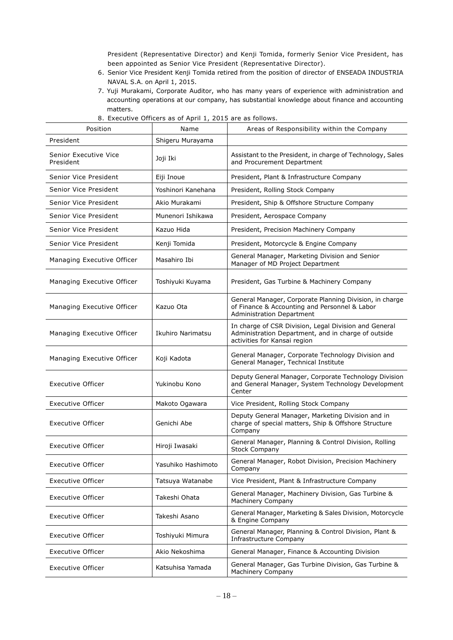President (Representative Director) and Kenji Tomida, formerly Senior Vice President, has been appointed as Senior Vice President (Representative Director).

- 6. Senior Vice President Kenji Tomida retired from the position of director of ENSEADA INDUSTRIA NAVAL S.A. on April 1, 2015.
- 7. Yuji Murakami, Corporate Auditor, who has many years of experience with administration and accounting operations at our company, has substantial knowledge about finance and accounting matters.

| Position                           | Name               | Areas of Responsibility within the Company                                                                                                   |
|------------------------------------|--------------------|----------------------------------------------------------------------------------------------------------------------------------------------|
| President                          | Shigeru Murayama   |                                                                                                                                              |
| Senior Executive Vice<br>President | Joji Iki           | Assistant to the President, in charge of Technology, Sales<br>and Procurement Department                                                     |
| Senior Vice President              | Eiji Inoue         | President, Plant & Infrastructure Company                                                                                                    |
| Senior Vice President              | Yoshinori Kanehana | President, Rolling Stock Company                                                                                                             |
| Senior Vice President              | Akio Murakami      | President, Ship & Offshore Structure Company                                                                                                 |
| Senior Vice President              | Munenori Ishikawa  | President, Aerospace Company                                                                                                                 |
| Senior Vice President              | Kazuo Hida         | President, Precision Machinery Company                                                                                                       |
| Senior Vice President              | Kenji Tomida       | President, Motorcycle & Engine Company                                                                                                       |
| Managing Executive Officer         | Masahiro Ibi       | General Manager, Marketing Division and Senior<br>Manager of MD Project Department                                                           |
| Managing Executive Officer         | Toshiyuki Kuyama   | President, Gas Turbine & Machinery Company                                                                                                   |
| Managing Executive Officer         | Kazuo Ota          | General Manager, Corporate Planning Division, in charge<br>of Finance & Accounting and Personnel & Labor<br><b>Administration Department</b> |
| Managing Executive Officer         | Ikuhiro Narimatsu  | In charge of CSR Division, Legal Division and General<br>Administration Department, and in charge of outside<br>activities for Kansai region |
| Managing Executive Officer         | Koji Kadota        | General Manager, Corporate Technology Division and<br>General Manager, Technical Institute                                                   |
| <b>Executive Officer</b>           | Yukinobu Kono      | Deputy General Manager, Corporate Technology Division<br>and General Manager, System Technology Development<br>Center                        |
| <b>Executive Officer</b>           | Makoto Ogawara     | Vice President, Rolling Stock Company                                                                                                        |
| Executive Officer                  | Genichi Abe        | Deputy General Manager, Marketing Division and in<br>charge of special matters, Ship & Offshore Structure<br>Company                         |
| Executive Officer                  | Hiroji Iwasaki     | General Manager, Planning & Control Division, Rolling<br><b>Stock Company</b>                                                                |
| Executive Officer                  | Yasuhiko Hashimoto | General Manager, Robot Division, Precision Machinery<br>Company                                                                              |
| Executive Officer                  | Tatsuya Watanabe   | Vice President, Plant & Infrastructure Company                                                                                               |
| <b>Executive Officer</b>           | Takeshi Ohata      | General Manager, Machinery Division, Gas Turbine &<br>Machinery Company                                                                      |
| <b>Executive Officer</b>           | Takeshi Asano      | General Manager, Marketing & Sales Division, Motorcycle<br>& Engine Company                                                                  |
| Executive Officer                  | Toshiyuki Mimura   | General Manager, Planning & Control Division, Plant &<br>Infrastructure Company                                                              |
| <b>Executive Officer</b>           | Akio Nekoshima     | General Manager, Finance & Accounting Division                                                                                               |
| Executive Officer                  | Katsuhisa Yamada   | General Manager, Gas Turbine Division, Gas Turbine &<br>Machinery Company                                                                    |

8. Executive Officers as of April 1, 2015 are as follows.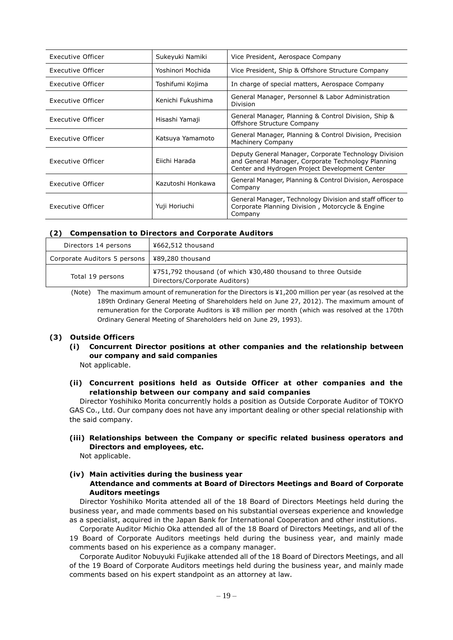| Executive Officer | Sukeyuki Namiki   | Vice President, Aerospace Company                                                                                                                             |  |
|-------------------|-------------------|---------------------------------------------------------------------------------------------------------------------------------------------------------------|--|
| Executive Officer | Yoshinori Mochida | Vice President, Ship & Offshore Structure Company                                                                                                             |  |
| Executive Officer | Toshifumi Kojima  | In charge of special matters, Aerospace Company                                                                                                               |  |
| Executive Officer | Kenichi Fukushima | General Manager, Personnel & Labor Administration<br>Division                                                                                                 |  |
| Executive Officer | Hisashi Yamaji    | General Manager, Planning & Control Division, Ship &<br>Offshore Structure Company                                                                            |  |
| Executive Officer | Katsuya Yamamoto  | General Manager, Planning & Control Division, Precision<br>Machinery Company                                                                                  |  |
| Executive Officer | Eiichi Harada     | Deputy General Manager, Corporate Technology Division<br>and General Manager, Corporate Technology Planning<br>Center and Hydrogen Project Development Center |  |
| Executive Officer | Kazutoshi Honkawa | General Manager, Planning & Control Division, Aerospace<br>Company                                                                                            |  |
| Executive Officer | Yuji Horiuchi     | General Manager, Technology Division and staff officer to<br>Corporate Planning Division, Motorcycle & Engine<br>Company                                      |  |

### **(2) Compensation to Directors and Corporate Auditors**

| Directors 14 persons         | ¥662,512 thousand                                                                              |
|------------------------------|------------------------------------------------------------------------------------------------|
| Corporate Auditors 5 persons | l ¥89,280 thousand                                                                             |
| Total 19 persons             | ¥751,792 thousand (of which ¥30,480 thousand to three Outside<br>Directors/Corporate Auditors) |

(Note) The maximum amount of remuneration for the Directors is ¥1,200 million per year (as resolved at the 189th Ordinary General Meeting of Shareholders held on June 27, 2012). The maximum amount of remuneration for the Corporate Auditors is ¥8 million per month (which was resolved at the 170th Ordinary General Meeting of Shareholders held on June 29, 1993).

### **(3) Outside Officers**

**(i) Concurrent Director positions at other companies and the relationship between our company and said companies**

Not applicable.

**(ii) Concurrent positions held as Outside Officer at other companies and the relationship between our company and said companies**

Director Yoshihiko Morita concurrently holds a position as Outside Corporate Auditor of TOKYO GAS Co., Ltd. Our company does not have any important dealing or other special relationship with the said company.

### **(iii) Relationships between the Company or specific related business operators and Directors and employees, etc.**

Not applicable.

### **(iv) Main activities during the business year Attendance and comments at Board of Directors Meetings and Board of Corporate Auditors meetings**

Director Yoshihiko Morita attended all of the 18 Board of Directors Meetings held during the business year, and made comments based on his substantial overseas experience and knowledge as a specialist, acquired in the Japan Bank for International Cooperation and other institutions.

Corporate Auditor Michio Oka attended all of the 18 Board of Directors Meetings, and all of the 19 Board of Corporate Auditors meetings held during the business year, and mainly made comments based on his experience as a company manager.

Corporate Auditor Nobuyuki Fujikake attended all of the 18 Board of Directors Meetings, and all of the 19 Board of Corporate Auditors meetings held during the business year, and mainly made comments based on his expert standpoint as an attorney at law.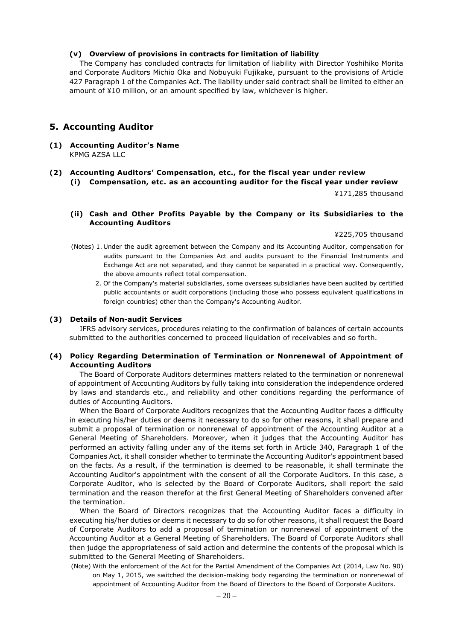### **(v) Overview of provisions in contracts for limitation of liability**

The Company has concluded contracts for limitation of liability with Director Yoshihiko Morita and Corporate Auditors Michio Oka and Nobuyuki Fujikake, pursuant to the provisions of Article 427 Paragraph 1 of the Companies Act. The liability under said contract shall be limited to either an amount of ¥10 million, or an amount specified by law, whichever is higher.

### **5. Accounting Auditor**

- **(1) Accounting Auditor's Name** KPMG AZSA LLC
- **(2) Accounting Auditors' Compensation, etc., for the fiscal year under review (i) Compensation, etc. as an accounting auditor for the fiscal year under review**

¥171,285 thousand

**(ii) Cash and Other Profits Payable by the Company or its Subsidiaries to the Accounting Auditors**

¥225,705 thousand

- (Notes) 1. Under the audit agreement between the Company and its Accounting Auditor, compensation for audits pursuant to the Companies Act and audits pursuant to the Financial Instruments and Exchange Act are not separated, and they cannot be separated in a practical way. Consequently, the above amounts reflect total compensation.
	- 2. Of the Company's material subsidiaries, some overseas subsidiaries have been audited by certified public accountants or audit corporations (including those who possess equivalent qualifications in foreign countries) other than the Company's Accounting Auditor.

#### **(3) Details of Non-audit Services**

IFRS advisory services, procedures relating to the confirmation of balances of certain accounts submitted to the authorities concerned to proceed liquidation of receivables and so forth.

### **(4) Policy Regarding Determination of Termination or Nonrenewal of Appointment of Accounting Auditors**

The Board of Corporate Auditors determines matters related to the termination or nonrenewal of appointment of Accounting Auditors by fully taking into consideration the independence ordered by laws and standards etc., and reliability and other conditions regarding the performance of duties of Accounting Auditors.

When the Board of Corporate Auditors recognizes that the Accounting Auditor faces a difficulty in executing his/her duties or deems it necessary to do so for other reasons, it shall prepare and submit a proposal of termination or nonrenewal of appointment of the Accounting Auditor at a General Meeting of Shareholders. Moreover, when it judges that the Accounting Auditor has performed an activity falling under any of the items set forth in Article 340, Paragraph 1 of the Companies Act, it shall consider whether to terminate the Accounting Auditor's appointment based on the facts. As a result, if the termination is deemed to be reasonable, it shall terminate the Accounting Auditor's appointment with the consent of all the Corporate Auditors. In this case, a Corporate Auditor, who is selected by the Board of Corporate Auditors, shall report the said termination and the reason therefor at the first General Meeting of Shareholders convened after the termination.

When the Board of Directors recognizes that the Accounting Auditor faces a difficulty in executing his/her duties or deems it necessary to do so for other reasons, it shall request the Board of Corporate Auditors to add a proposal of termination or nonrenewal of appointment of the Accounting Auditor at a General Meeting of Shareholders. The Board of Corporate Auditors shall then judge the appropriateness of said action and determine the contents of the proposal which is submitted to the General Meeting of Shareholders.

(Note) With the enforcement of the Act for the Partial Amendment of the Companies Act (2014, Law No. 90) on May 1, 2015, we switched the decision-making body regarding the termination or nonrenewal of appointment of Accounting Auditor from the Board of Directors to the Board of Corporate Auditors.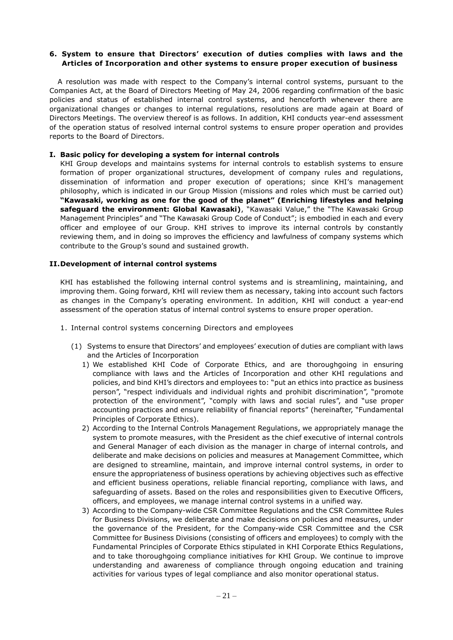### **6. System to ensure that Directors' execution of duties complies with laws and the Articles of Incorporation and other systems to ensure proper execution of business**

A resolution was made with respect to the Company's internal control systems, pursuant to the Companies Act, at the Board of Directors Meeting of May 24, 2006 regarding confirmation of the basic policies and status of established internal control systems, and henceforth whenever there are organizational changes or changes to internal regulations, resolutions are made again at Board of Directors Meetings. The overview thereof is as follows. In addition, KHI conducts year-end assessment of the operation status of resolved internal control systems to ensure proper operation and provides reports to the Board of Directors.

### **I. Basic policy for developing a system for internal controls**

KHI Group develops and maintains systems for internal controls to establish systems to ensure formation of proper organizational structures, development of company rules and regulations, dissemination of information and proper execution of operations; since KHI's management philosophy, which is indicated in our Group Mission (missions and roles which must be carried out) **"Kawasaki, working as one for the good of the planet" (Enriching lifestyles and helping safeguard the environment: Global Kawasaki)**, "Kawasaki Value," the "The Kawasaki Group Management Principles" and "The Kawasaki Group Code of Conduct"; is embodied in each and every officer and employee of our Group. KHI strives to improve its internal controls by constantly reviewing them, and in doing so improves the efficiency and lawfulness of company systems which contribute to the Group's sound and sustained growth.

### **II.Development of internal control systems**

KHI has established the following internal control systems and is streamlining, maintaining, and improving them. Going forward, KHI will review them as necessary, taking into account such factors as changes in the Company's operating environment. In addition, KHI will conduct a year-end assessment of the operation status of internal control systems to ensure proper operation.

- 1. Internal control systems concerning Directors and employees
	- (1) Systems to ensure that Directors' and employees' execution of duties are compliant with laws and the Articles of Incorporation
		- 1) We established KHI Code of Corporate Ethics, and are thoroughgoing in ensuring compliance with laws and the Articles of Incorporation and other KHI regulations and policies, and bind KHI's directors and employees to: "put an ethics into practice as business person", "respect individuals and individual rights and prohibit discrimination", "promote protection of the environment", "comply with laws and social rules", and "use proper accounting practices and ensure reliability of financial reports" (hereinafter, "Fundamental Principles of Corporate Ethics).
		- 2) According to the Internal Controls Management Regulations, we appropriately manage the system to promote measures, with the President as the chief executive of internal controls and General Manager of each division as the manager in charge of internal controls, and deliberate and make decisions on policies and measures at Management Committee, which are designed to streamline, maintain, and improve internal control systems, in order to ensure the appropriateness of business operations by achieving objectives such as effective and efficient business operations, reliable financial reporting, compliance with laws, and safeguarding of assets. Based on the roles and responsibilities given to Executive Officers, officers, and employees, we manage internal control systems in a unified way.
		- 3) According to the Company-wide CSR Committee Regulations and the CSR Committee Rules for Business Divisions, we deliberate and make decisions on policies and measures, under the governance of the President, for the Company-wide CSR Committee and the CSR Committee for Business Divisions (consisting of officers and employees) to comply with the Fundamental Principles of Corporate Ethics stipulated in KHI Corporate Ethics Regulations, and to take thoroughgoing compliance initiatives for KHI Group. We continue to improve understanding and awareness of compliance through ongoing education and training activities for various types of legal compliance and also monitor operational status.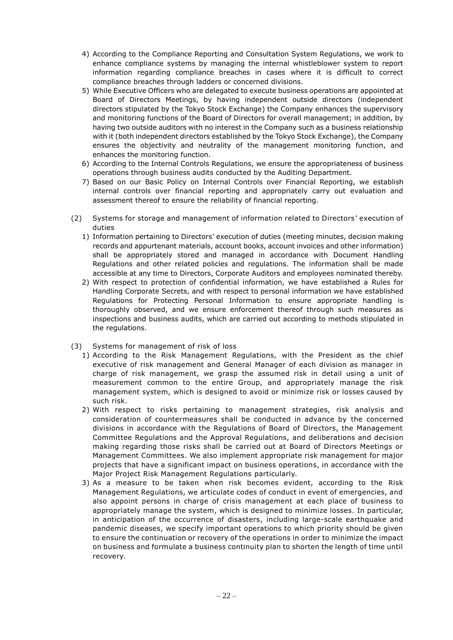- 4) According to the Compliance Reporting and Consultation System Regulations, we work to enhance compliance systems by managing the internal whistleblower system to report information regarding compliance breaches in cases where it is difficult to correct compliance breaches through ladders or concerned divisions.
- 5) While Executive Officers who are delegated to execute business operations are appointed at Board of Directors Meetings, by having independent outside directors (independent directors stipulated by the Tokyo Stock Exchange) the Company enhances the supervisory and monitoring functions of the Board of Directors for overall management; in addition, by having two outside auditors with no interest in the Company such as a business relationship with it (both independent directors established by the Tokyo Stock Exchange), the Company ensures the objectivity and neutrality of the management monitoring function, and enhances the monitoring function.
- 6) According to the Internal Controls Regulations, we ensure the appropriateness of business operations through business audits conducted by the Auditing Department.
- 7) Based on our Basic Policy on Internal Controls over Financial Reporting, we establish internal controls over financial reporting and appropriately carry out evaluation and assessment thereof to ensure the reliability of financial reporting.
- (2) Systems for storage and management of information related to Directors' execution of duties
	- 1) Information pertaining to Directors' execution of duties (meeting minutes, decision making records and appurtenant materials, account books, account invoices and other information) shall be appropriately stored and managed in accordance with Document Handling Regulations and other related policies and regulations. The information shall be made accessible at any time to Directors, Corporate Auditors and employees nominated thereby.
	- 2) With respect to protection of confidential information, we have established a Rules for Handling Corporate Secrets, and with respect to personal information we have established Regulations for Protecting Personal Information to ensure appropriate handling is thoroughly observed, and we ensure enforcement thereof through such measures as inspections and business audits, which are carried out according to methods stipulated in the regulations.
- (3) Systems for management of risk of loss
	- 1) According to the Risk Management Regulations, with the President as the chief executive of risk management and General Manager of each division as manager in charge of risk management, we grasp the assumed risk in detail using a unit of measurement common to the entire Group, and appropriately manage the risk management system, which is designed to avoid or minimize risk or losses caused by such risk.
	- 2) With respect to risks pertaining to management strategies, risk analysis and consideration of countermeasures shall be conducted in advance by the concerned divisions in accordance with the Regulations of Board of Directors, the Management Committee Regulations and the Approval Regulations, and deliberations and decision making regarding those risks shall be carried out at Board of Directors Meetings or Management Committees. We also implement appropriate risk management for major projects that have a significant impact on business operations, in accordance with the Major Project Risk Management Regulations particularly.
	- 3) As a measure to be taken when risk becomes evident, according to the Risk Management Regulations, we articulate codes of conduct in event of emergencies, and also appoint persons in charge of crisis management at each place of business to appropriately manage the system, which is designed to minimize losses. In particular, in anticipation of the occurrence of disasters, including large-scale earthquake and pandemic diseases, we specify important operations to which priority should be given to ensure the continuation or recovery of the operations in order to minimize the impact on business and formulate a business continuity plan to shorten the length of time until recovery.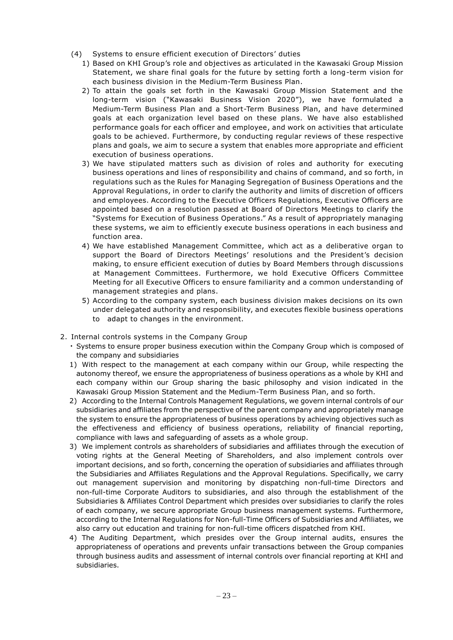- (4) Systems to ensure efficient execution of Directors' duties
	- 1) Based on KHI Group's role and objectives as articulated in the Kawasaki Group Mission Statement, we share final goals for the future by setting forth a long-term vision for each business division in the Medium-Term Business Plan.
	- 2) To attain the goals set forth in the Kawasaki Group Mission Statement and the long-term vision ("Kawasaki Business Vision 2020"), we have formulated a Medium-Term Business Plan and a Short-Term Business Plan, and have determined goals at each organization level based on these plans. We have also established performance goals for each officer and employee, and work on activities that articulate goals to be achieved. Furthermore, by conducting regular reviews of these respective plans and goals, we aim to secure a system that enables more appropriate and efficient execution of business operations.
	- 3) We have stipulated matters such as division of roles and authority for executing business operations and lines of responsibility and chains of command, and so forth, in regulations such as the Rules for Managing Segregation of Business Operations and the Approval Regulations, in order to clarify the authority and limits of discretion of officers and employees. According to the Executive Officers Regulations, Executive Officers are appointed based on a resolution passed at Board of Directors Meetings to clarify the "Systems for Execution of Business Operations." As a result of appropriately managing these systems, we aim to efficiently execute business operations in each business and function area.
	- 4) We have established Management Committee, which act as a deliberative organ to support the Board of Directors Meetings' resolutions and the President's decision making, to ensure efficient execution of duties by Board Members through discussions at Management Committees. Furthermore, we hold Executive Officers Committee Meeting for all Executive Officers to ensure familiarity and a common understanding of management strategies and plans.
	- 5) According to the company system, each business division makes decisions on its own under delegated authority and responsibility, and executes flexible business operations to adapt to changes in the environment.
- 2. Internal controls systems in the Company Group
	- Systems to ensure proper business execution within the Company Group which is composed of the company and subsidiaries
	- 1) With respect to the management at each company within our Group, while respecting the autonomy thereof, we ensure the appropriateness of business operations as a whole by KHI and each company within our Group sharing the basic philosophy and vision indicated in the Kawasaki Group Mission Statement and the Medium-Term Business Plan, and so forth.
	- 2) According to the Internal Controls Management Regulations, we govern internal controls of our subsidiaries and affiliates from the perspective of the parent company and appropriately manage the system to ensure the appropriateness of business operations by achieving objectives such as the effectiveness and efficiency of business operations, reliability of financial reporting, compliance with laws and safeguarding of assets as a whole group.
	- 3) We implement controls as shareholders of subsidiaries and affiliates through the execution of voting rights at the General Meeting of Shareholders, and also implement controls over important decisions, and so forth, concerning the operation of subsidiaries and affiliates through the Subsidiaries and Affiliates Regulations and the Approval Regulations. Specifically, we carry out management supervision and monitoring by dispatching non-full-time Directors and non-full-time Corporate Auditors to subsidiaries, and also through the establishment of the Subsidiaries & Affiliates Control Department which presides over subsidiaries to clarify the roles of each company, we secure appropriate Group business management systems. Furthermore, according to the Internal Regulations for Non-full-Time Officers of Subsidiaries and Affiliates, we also carry out education and training for non-full-time officers dispatched from KHI.
	- 4) The Auditing Department, which presides over the Group internal audits, ensures the appropriateness of operations and prevents unfair transactions between the Group companies through business audits and assessment of internal controls over financial reporting at KHI and subsidiaries.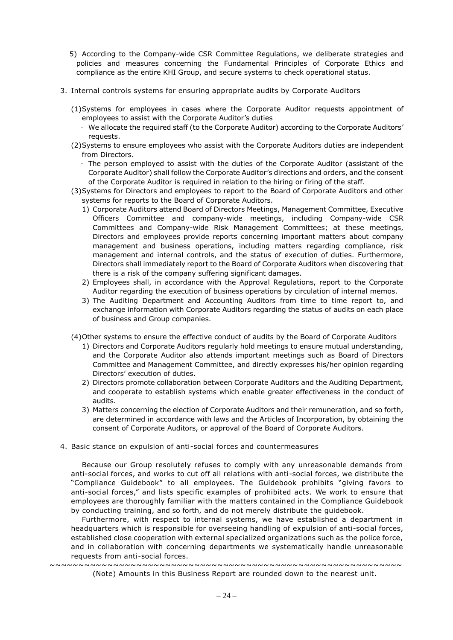- 5) According to the Company-wide CSR Committee Regulations, we deliberate strategies and policies and measures concerning the Fundamental Principles of Corporate Ethics and compliance as the entire KHI Group, and secure systems to check operational status.
- 3. Internal controls systems for ensuring appropriate audits by Corporate Auditors
	- (1)Systems for employees in cases where the Corporate Auditor requests appointment of employees to assist with the Corporate Auditor's duties
		- We allocate the required staff (to the Corporate Auditor) according to the Corporate Auditors' requests.
	- (2)Systems to ensure employees who assist with the Corporate Auditors duties are independent from Directors.
		- The person employed to assist with the duties of the Corporate Auditor (assistant of the Corporate Auditor) shall follow the Corporate Auditor's directions and orders, and the consent of the Corporate Auditor is required in relation to the hiring or firing of the staff.
	- (3)Systems for Directors and employees to report to the Board of Corporate Auditors and other systems for reports to the Board of Corporate Auditors.
		- 1) Corporate Auditors attend Board of Directors Meetings, Management Committee, Executive Officers Committee and company-wide meetings, including Company-wide CSR Committees and Company-wide Risk Management Committees; at these meetings, Directors and employees provide reports concerning important matters about company management and business operations, including matters regarding compliance, risk management and internal controls, and the status of execution of duties. Furthermore, Directors shall immediately report to the Board of Corporate Auditors when discovering that there is a risk of the company suffering significant damages.
		- 2) Employees shall, in accordance with the Approval Regulations, report to the Corporate Auditor regarding the execution of business operations by circulation of internal memos.
		- 3) The Auditing Department and Accounting Auditors from time to time report to, and exchange information with Corporate Auditors regarding the status of audits on each place of business and Group companies.
	- (4)Other systems to ensure the effective conduct of audits by the Board of Corporate Auditors
		- 1) Directors and Corporate Auditors regularly hold meetings to ensure mutual understanding, and the Corporate Auditor also attends important meetings such as Board of Directors Committee and Management Committee, and directly expresses his/her opinion regarding Directors' execution of duties.
		- 2) Directors promote collaboration between Corporate Auditors and the Auditing Department, and cooperate to establish systems which enable greater effectiveness in the conduct of audits.
		- 3) Matters concerning the election of Corporate Auditors and their remuneration, and so forth, are determined in accordance with laws and the Articles of Incorporation, by obtaining the consent of Corporate Auditors, or approval of the Board of Corporate Auditors.
- 4. Basic stance on expulsion of anti-social forces and countermeasures

Because our Group resolutely refuses to comply with any unreasonable demands from anti-social forces, and works to cut off all relations with anti-social forces, we distribute the "Compliance Guidebook" to all employees. The Guidebook prohibits "giving favors to anti-social forces," and lists specific examples of prohibited acts. We work to ensure that employees are thoroughly familiar with the matters contained in the Compliance Guidebook by conducting training, and so forth, and do not merely distribute the guidebook.

Furthermore, with respect to internal systems, we have established a department in headquarters which is responsible for overseeing handling of expulsion of anti-social forces, established close cooperation with external specialized organizations such as the police force, and in collaboration with concerning departments we systematically handle unreasonable requests from anti-social forces.

~~~~~~~~~~~~~~~~~~~~~~~~~~~~~~~~~~~~~~~~~~~~~~~~~~~~~~~~~~~~~ (Note) Amounts in this Business Report are rounded down to the nearest unit.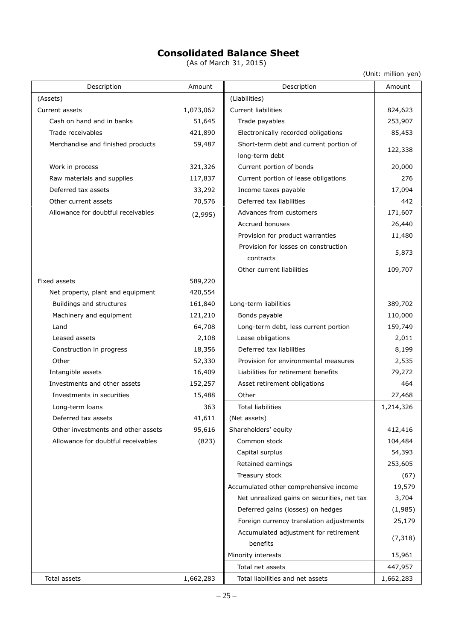# **Consolidated Balance Sheet**

(As of March 31, 2015)

(Unit: million yen)

| Description                        | Amount    | Description                                 | Amount    |  |
|------------------------------------|-----------|---------------------------------------------|-----------|--|
| (Assets)                           |           | (Liabilities)                               |           |  |
| Current assets                     | 1,073,062 | <b>Current liabilities</b>                  | 824,623   |  |
| Cash on hand and in banks          | 51,645    | Trade payables                              | 253,907   |  |
| Trade receivables                  | 421,890   | Electronically recorded obligations         | 85,453    |  |
| Merchandise and finished products  | 59,487    | Short-term debt and current portion of      | 122,338   |  |
|                                    |           | long-term debt                              |           |  |
| Work in process                    | 321,326   | Current portion of bonds                    | 20,000    |  |
| Raw materials and supplies         | 117,837   | Current portion of lease obligations        | 276       |  |
| Deferred tax assets                | 33,292    | Income taxes payable                        | 17,094    |  |
| Other current assets               | 70,576    | Deferred tax liabilities                    | 442       |  |
| Allowance for doubtful receivables | (2,995)   | Advances from customers                     | 171,607   |  |
|                                    |           | Accrued bonuses                             | 26,440    |  |
|                                    |           | Provision for product warranties            | 11,480    |  |
|                                    |           | Provision for losses on construction        |           |  |
|                                    |           | contracts                                   | 5,873     |  |
|                                    |           | Other current liabilities                   | 109,707   |  |
| Fixed assets                       | 589,220   |                                             |           |  |
| Net property, plant and equipment  | 420,554   |                                             |           |  |
| Buildings and structures           | 161,840   | Long-term liabilities                       | 389,702   |  |
| Machinery and equipment            | 121,210   | Bonds payable                               | 110,000   |  |
| Land                               | 64,708    | Long-term debt, less current portion        | 159,749   |  |
| Leased assets                      | 2,108     | Lease obligations                           | 2,011     |  |
| Construction in progress           | 18,356    | Deferred tax liabilities                    | 8,199     |  |
| Other                              | 52,330    | Provision for environmental measures        | 2,535     |  |
| Intangible assets                  | 16,409    | Liabilities for retirement benefits         | 79,272    |  |
| Investments and other assets       | 152,257   | Asset retirement obligations                | 464       |  |
| Investments in securities          | 15,488    | Other                                       | 27,468    |  |
| Long-term loans                    | 363       | <b>Total liabilities</b>                    | 1,214,326 |  |
| Deferred tax assets                | 41,611    | (Net assets)                                |           |  |
| Other investments and other assets | 95,616    | Shareholders' equity                        | 412,416   |  |
| Allowance for doubtful receivables | (823)     | Common stock                                | 104,484   |  |
|                                    |           | Capital surplus                             | 54,393    |  |
|                                    |           | Retained earnings                           | 253,605   |  |
|                                    |           | Treasury stock                              | (67)      |  |
|                                    |           | Accumulated other comprehensive income      | 19,579    |  |
|                                    |           | Net unrealized gains on securities, net tax | 3,704     |  |
|                                    |           | Deferred gains (losses) on hedges           | (1,985)   |  |
|                                    |           | Foreign currency translation adjustments    | 25,179    |  |
|                                    |           | Accumulated adjustment for retirement       |           |  |
|                                    |           | benefits                                    | (7, 318)  |  |
|                                    |           | Minority interests                          | 15,961    |  |
|                                    |           | Total net assets                            | 447,957   |  |
| Total assets                       | 1,662,283 | Total liabilities and net assets            | 1,662,283 |  |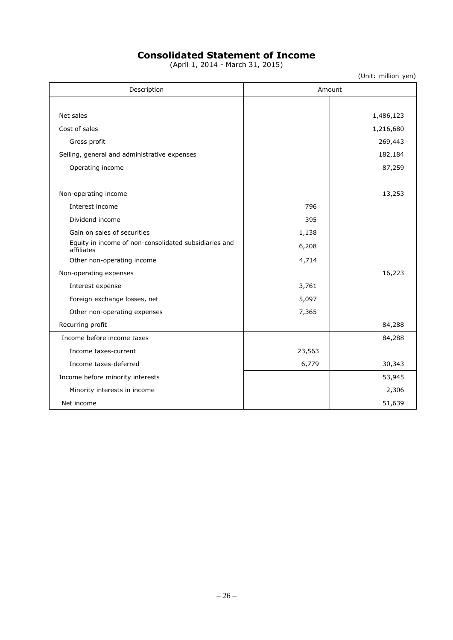# **Consolidated Statement of Income**

(April 1, 2014 - March 31, 2015)

(Unit: million yen)

| Description                                                         |        | Amount    |
|---------------------------------------------------------------------|--------|-----------|
|                                                                     |        |           |
| Net sales                                                           |        | 1,486,123 |
| Cost of sales                                                       |        | 1,216,680 |
| Gross profit                                                        |        | 269,443   |
| Selling, general and administrative expenses                        |        | 182,184   |
| Operating income                                                    |        | 87,259    |
| Non-operating income                                                |        | 13,253    |
| Interest income                                                     | 796    |           |
| Dividend income                                                     | 395    |           |
| Gain on sales of securities                                         | 1,138  |           |
| Equity in income of non-consolidated subsidiaries and<br>affiliates | 6,208  |           |
| Other non-operating income                                          | 4,714  |           |
| Non-operating expenses                                              |        | 16,223    |
| Interest expense                                                    | 3,761  |           |
| Foreign exchange losses, net                                        | 5,097  |           |
| Other non-operating expenses                                        | 7,365  |           |
| Recurring profit                                                    |        | 84,288    |
| Income before income taxes                                          |        | 84,288    |
| Income taxes-current                                                | 23,563 |           |
| Income taxes-deferred                                               | 6,779  | 30,343    |
| Income before minority interests                                    |        | 53,945    |
| Minority interests in income                                        |        | 2,306     |
| Net income                                                          |        | 51,639    |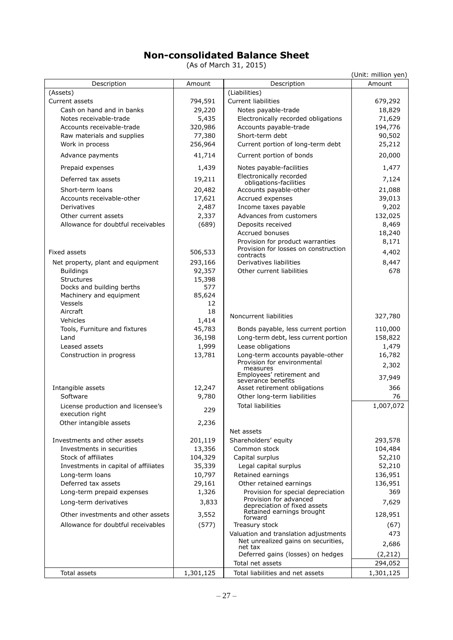# **Non-consolidated Balance Sheet**

(As of March 31, 2015)

|                                            |                 |                                                        | (Unit: million yen) |
|--------------------------------------------|-----------------|--------------------------------------------------------|---------------------|
| Description                                | Amount          | Description                                            | Amount              |
| (Assets)                                   |                 | (Liabilities)                                          |                     |
| Current assets                             | 794,591         | <b>Current liabilities</b>                             | 679,292             |
| Cash on hand and in banks                  | 29,220          | Notes payable-trade                                    | 18,829              |
| Notes receivable-trade                     | 5,435           | Electronically recorded obligations                    | 71,629              |
| Accounts receivable-trade                  | 320,986         | Accounts payable-trade                                 | 194,776             |
| Raw materials and supplies                 | 77,380          | Short-term debt                                        | 90,502              |
| Work in process                            | 256,964         | Current portion of long-term debt                      | 25,212              |
| Advance payments                           | 41,714          | Current portion of bonds                               | 20,000              |
| Prepaid expenses                           | 1,439           | Notes payable-facilities<br>Electronically recorded    | 1,477               |
| Deferred tax assets                        | 19,211          | obligations-facilities                                 | 7,124               |
| Short-term loans                           | 20,482          | Accounts payable-other                                 | 21,088              |
| Accounts receivable-other                  | 17,621          | Accrued expenses                                       | 39,013              |
| Derivatives                                | 2,487           | Income taxes payable                                   | 9,202               |
| Other current assets                       | 2,337           | Advances from customers                                | 132,025             |
| Allowance for doubtful receivables         | (689)           | Deposits received                                      | 8,469               |
|                                            |                 | Accrued bonuses                                        | 18,240              |
|                                            |                 | Provision for product warranties                       | 8,171               |
| Fixed assets                               | 506,533         | Provision for losses on construction<br>contracts      | 4,402               |
| Net property, plant and equipment          | 293,166         | Derivatives liabilities                                | 8,447               |
| <b>Buildings</b>                           | 92,357          | Other current liabilities                              | 678                 |
| <b>Structures</b>                          | 15,398          |                                                        |                     |
| Docks and building berths                  | 577             |                                                        |                     |
| Machinery and equipment                    | 85,624          |                                                        |                     |
| Vessels                                    | 12              |                                                        |                     |
| Aircraft                                   | 18              | Noncurrent liabilities                                 | 327,780             |
| Vehicles<br>Tools, Furniture and fixtures  | 1,414<br>45,783 | Bonds payable, less current portion                    | 110,000             |
| Land                                       | 36,198          | Long-term debt, less current portion                   | 158,822             |
| Leased assets                              | 1,999           | Lease obligations                                      | 1,479               |
| Construction in progress                   | 13,781          | Long-term accounts payable-other                       | 16,782              |
|                                            |                 | Provision for environmental                            | 2,302               |
|                                            |                 | measures<br>Employees' retirement and                  |                     |
|                                            |                 | severance benefits                                     | 37,949              |
| Intangible assets                          | 12,247          | Asset retirement obligations                           | 366                 |
| Software                                   | 9,780           | Other long-term liabilities                            | 76                  |
| License production and licensee's          | 229             | <b>Total liabilities</b>                               | 1,007,072           |
| execution right<br>Other intangible assets | 2,236           |                                                        |                     |
|                                            |                 | Net assets                                             |                     |
| Investments and other assets               | 201,119         | Shareholders' equity                                   | 293,578             |
| Investments in securities                  | 13,356          | Common stock                                           | 104,484             |
| Stock of affiliates                        | 104,329         | Capital surplus                                        | 52,210              |
| Investments in capital of affiliates       | 35,339          | Legal capital surplus                                  | 52,210              |
| Long-term loans                            | 10,797          | Retained earnings                                      | 136,951             |
| Deferred tax assets                        | 29,161          | Other retained earnings                                | 136,951             |
| Long-term prepaid expenses                 | 1,326           | Provision for special depreciation                     | 369                 |
| Long-term derivatives                      | 3,833           | Provision for advanced<br>depreciation of fixed assets | 7,629               |
| Other investments and other assets         | 3,552           | Retained earnings brought<br>forward                   | 128,951             |
| Allowance for doubtful receivables         | (577)           | Treasury stock                                         | (67)                |
|                                            |                 | Valuation and translation adjustments                  | 473                 |
|                                            |                 | Net unrealized gains on securities,<br>net tax         | 2,686               |
|                                            |                 | Deferred gains (losses) on hedges                      | (2, 212)            |
|                                            |                 | Total net assets                                       | 294,052             |
| Total assets                               | 1,301,125       | Total liabilities and net assets                       | 1,301,125           |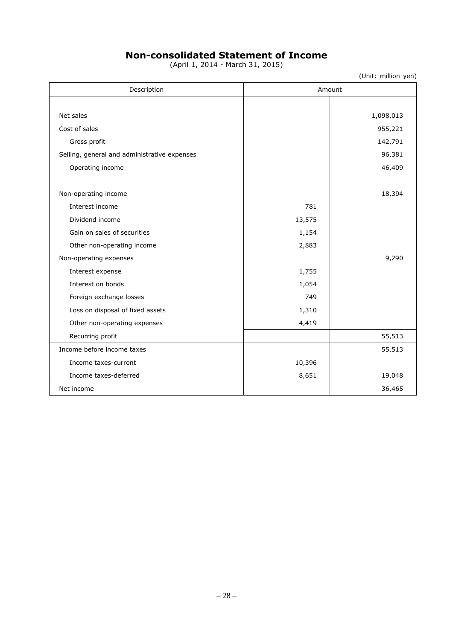# **Non-consolidated Statement of Income**

(April 1, 2014 - March 31, 2015)

(Unit: million yen)

| Description                                  |        | Amount    |
|----------------------------------------------|--------|-----------|
|                                              |        |           |
| Net sales                                    |        | 1,098,013 |
| Cost of sales                                |        | 955,221   |
| Gross profit                                 |        | 142,791   |
| Selling, general and administrative expenses |        | 96,381    |
| Operating income                             |        | 46,409    |
|                                              |        |           |
| Non-operating income                         |        | 18,394    |
| Interest income                              | 781    |           |
| Dividend income                              | 13,575 |           |
| Gain on sales of securities                  | 1,154  |           |
| Other non-operating income                   | 2,883  |           |
| Non-operating expenses                       |        | 9,290     |
| Interest expense                             | 1,755  |           |
| Interest on bonds                            | 1,054  |           |
| Foreign exchange losses                      | 749    |           |
| Loss on disposal of fixed assets             | 1,310  |           |
| Other non-operating expenses                 | 4,419  |           |
| Recurring profit                             |        | 55,513    |
| Income before income taxes                   |        | 55,513    |
| Income taxes-current                         | 10,396 |           |
| Income taxes-deferred                        | 8,651  | 19,048    |
| Net income                                   |        | 36,465    |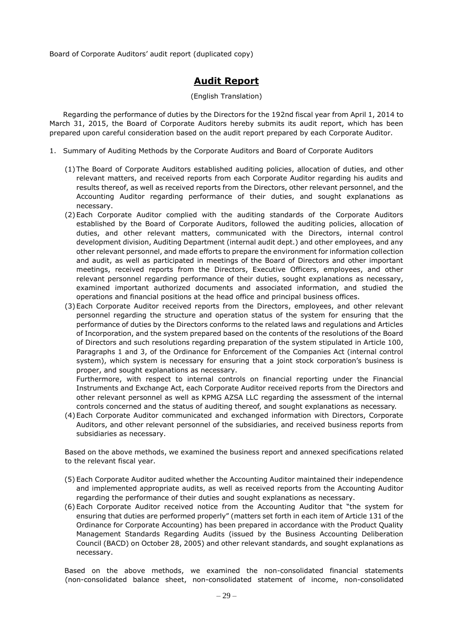Board of Corporate Auditors' audit report (duplicated copy)

# **Audit Report**

### (English Translation)

Regarding the performance of duties by the Directors for the 192nd fiscal year from April 1, 2014 to March 31, 2015, the Board of Corporate Auditors hereby submits its audit report, which has been prepared upon careful consideration based on the audit report prepared by each Corporate Auditor.

- 1. Summary of Auditing Methods by the Corporate Auditors and Board of Corporate Auditors
	- (1) The Board of Corporate Auditors established auditing policies, allocation of duties, and other relevant matters, and received reports from each Corporate Auditor regarding his audits and results thereof, as well as received reports from the Directors, other relevant personnel, and the Accounting Auditor regarding performance of their duties, and sought explanations as necessary.
	- (2) Each Corporate Auditor complied with the auditing standards of the Corporate Auditors established by the Board of Corporate Auditors, followed the auditing policies, allocation of duties, and other relevant matters, communicated with the Directors, internal control development division, Auditing Department (internal audit dept.) and other employees, and any other relevant personnel, and made efforts to prepare the environment for information collection and audit, as well as participated in meetings of the Board of Directors and other important meetings, received reports from the Directors, Executive Officers, employees, and other relevant personnel regarding performance of their duties, sought explanations as necessary, examined important authorized documents and associated information, and studied the operations and financial positions at the head office and principal business offices.
	- (3) Each Corporate Auditor received reports from the Directors, employees, and other relevant personnel regarding the structure and operation status of the system for ensuring that the performance of duties by the Directors conforms to the related laws and regulations and Articles of Incorporation, and the system prepared based on the contents of the resolutions of the Board of Directors and such resolutions regarding preparation of the system stipulated in Article 100, Paragraphs 1 and 3, of the Ordinance for Enforcement of the Companies Act (internal control system), which system is necessary for ensuring that a joint stock corporation's business is proper, and sought explanations as necessary.

Furthermore, with respect to internal controls on financial reporting under the Financial Instruments and Exchange Act, each Corporate Auditor received reports from the Directors and other relevant personnel as well as KPMG AZSA LLC regarding the assessment of the internal controls concerned and the status of auditing thereof, and sought explanations as necessary.

(4) Each Corporate Auditor communicated and exchanged information with Directors, Corporate Auditors, and other relevant personnel of the subsidiaries, and received business reports from subsidiaries as necessary.

Based on the above methods, we examined the business report and annexed specifications related to the relevant fiscal year.

- (5) Each Corporate Auditor audited whether the Accounting Auditor maintained their independence and implemented appropriate audits, as well as received reports from the Accounting Auditor regarding the performance of their duties and sought explanations as necessary.
- (6) Each Corporate Auditor received notice from the Accounting Auditor that "the system for ensuring that duties are performed properly" (matters set forth in each item of Article 131 of the Ordinance for Corporate Accounting) has been prepared in accordance with the Product Quality Management Standards Regarding Audits (issued by the Business Accounting Deliberation Council (BACD) on October 28, 2005) and other relevant standards, and sought explanations as necessary.

Based on the above methods, we examined the non-consolidated financial statements (non-consolidated balance sheet, non-consolidated statement of income, non-consolidated